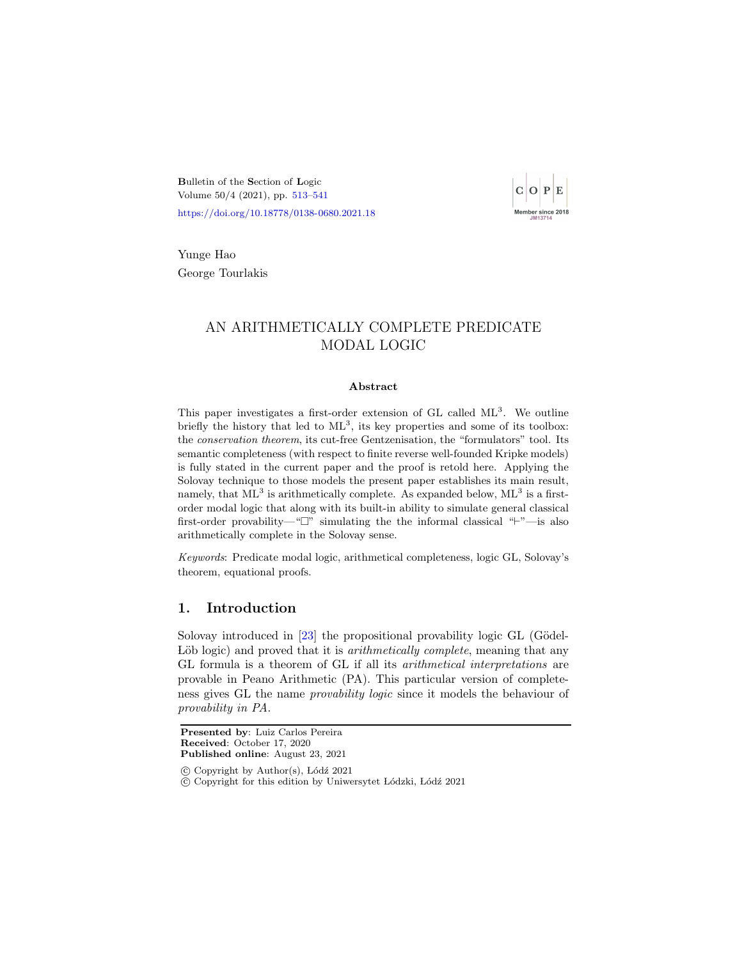<span id="page-0-1"></span><span id="page-0-0"></span>Bulletin of the Section of Logic Volume 50/4 (2021), pp. [513](#page-0-0)[–541](#page-28-0) <https://doi.org/10.18778/0138-0680.2021.18>



Yunge Hao George Tourlakis

# AN ARITHMETICALLY COMPLETE PREDICATE MODAL LOGIC

#### Abstract

This paper investigates a first-order extension of  $GL$  called  $ML<sup>3</sup>$ . We outline briefly the history that led to  $ML^3$ , its key properties and some of its toolbox: the conservation theorem, its cut-free Gentzenisation, the "formulators" tool. Its semantic completeness (with respect to finite reverse well-founded Kripke models) is fully stated in the current paper and the proof is retold here. Applying the Solovay technique to those models the present paper establishes its main result, namely, that  $ML^3$  is arithmetically complete. As expanded below,  $ML^3$  is a firstorder modal logic that along with its built-in ability to simulate general classical first-order provability—" $\Box$ " simulating the the informal classical " $\vdash$ "—is also arithmetically complete in the Solovay sense.

Keywords: Predicate modal logic, arithmetical completeness, logic GL, Solovay's theorem, equational proofs.

## 1. Introduction

Solovay introduced in  $[23]$  the propositional provability logic GL (Gödel-Löb logic) and proved that it is *arithmetically complete*, meaning that any GL formula is a theorem of GL if all its arithmetical interpretations are provable in Peano Arithmetic (PA). This particular version of completeness gives GL the name provability logic since it models the behaviour of provability in PA.

Presented by: Luiz Carlos Pereira Received: October 17, 2020 Published online: August 23, 2021

c Copyright by Author(s), L´od´z 2021

c Copyright for this edition by Uniwersytet L´odzki, L´od´z 2021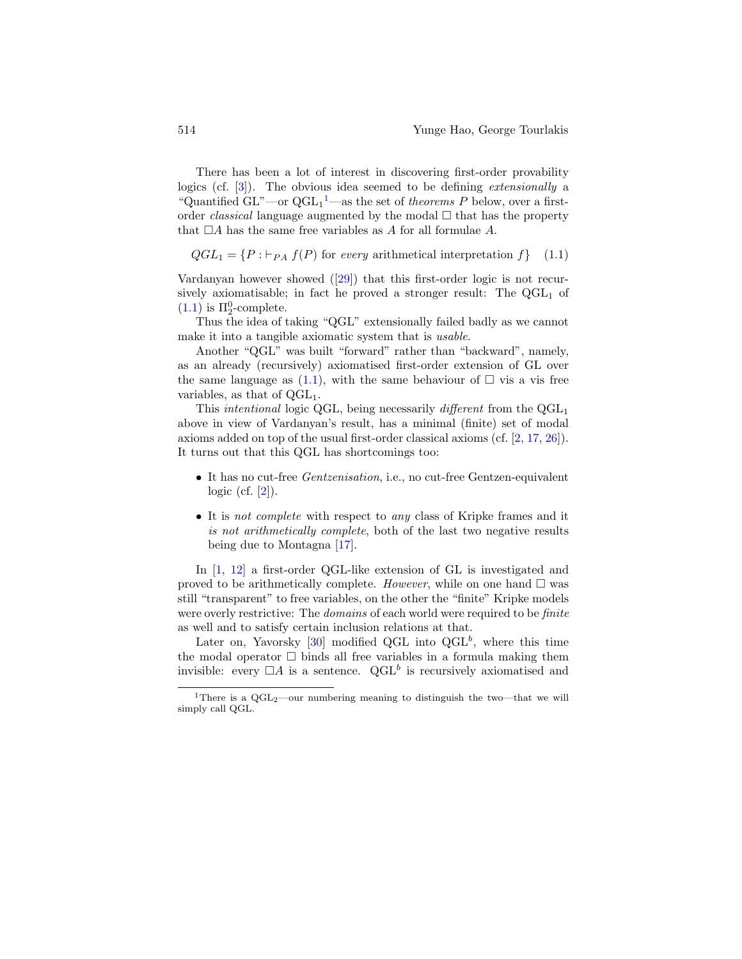There has been a lot of interest in discovering first-order provability logics (cf. [\[3\]](#page-26-0)). The obvious idea seemed to be defining *extensionally* a "Quantified  $GL$ "—or  $QGL_1$  $QGL_1$ <sup>1</sup>—as the set of *theorems P* below, over a firstorder *classical* language augmented by the modal  $\Box$  that has the property that  $\Box A$  has the same free variables as A for all formulae A.

<span id="page-1-0"></span>
$$
QGL_1 = \{P : \vdash_{PA} f(P) \text{ for every arithmetical interpretation } f\} \quad (1.1)
$$

Vardanyan however showed([\[29\]](#page-28-1)) that this first-order logic is not recursively axiomatisable; in fact he proved a stronger result: The  $QGL<sub>1</sub>$  of  $(1.1)$  is  $\Pi_2^0$ -complete.

Thus the idea of taking "QGL" extensionally failed badly as we cannot make it into a tangible axiomatic system that is *usable*.

Another "QGL" was built "forward" rather than "backward", namely, as an already (recursively) axiomatised first-order extension of GL over the same language as [\(1.1\)](#page-1-0), with the same behaviour of  $\Box$  vis a vis free variables, as that of  $QGL<sub>1</sub>$ .

This *intentional* logic QGL, being necessarily *different* from the  $QGL<sub>1</sub>$ above in view of Vardanyan's result, has a minimal (finite) set of modal axioms added on top of the usual first-order classical axioms (cf. [\[2,](#page-25-0) [17,](#page-27-1) [26\]](#page-27-2)). It turns out that this QGL has shortcomings too:

- It has no cut-free *Gentzenisation*, i.e., no cut-free Gentzen-equivalent logic (cf.  $[2]$ ).
- It is not complete with respect to any class of Kripke frames and it is not arithmetically complete, both of the last two negative results being due to Montagna [\[17\]](#page-27-1).

In  $[1, 12]$  $[1, 12]$  a first-order QGL-like extension of GL is investigated and proved to be arithmetically complete. However, while on one hand  $\Box$  was still "transparent" to free variables, on the other the "finite" Kripke models were overly restrictive: The *domains* of each world were required to be *finite* as well and to satisfy certain inclusion relations at that.

Later on, Yavorsky  $[30]$  modified QGL into QGL<sup>b</sup>, where this time the modal operator  $\Box$  binds all free variables in a formula making them invisible: every  $\Box A$  is a sentence. QGL<sup>b</sup> is recursively axiomatised and

<sup>&</sup>lt;sup>1</sup>There is a QGL<sub>2</sub>—our numbering meaning to distinguish the two—that we will simply call QGL.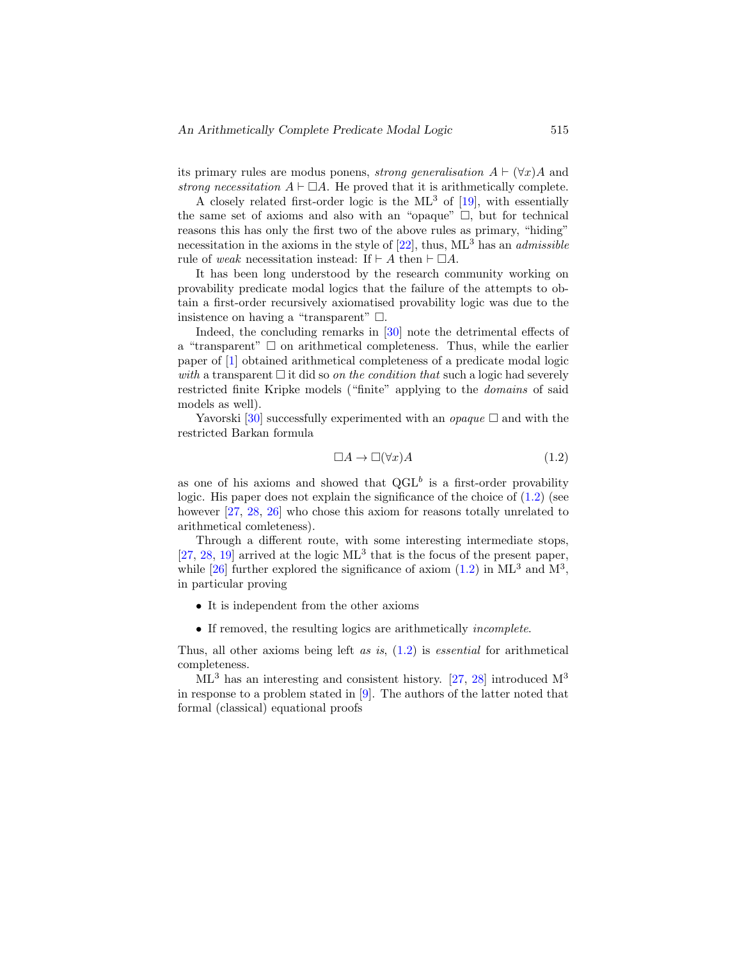its primary rules are modus ponens, *strong generalisation*  $A \vdash (\forall x)A$  and strong necessitation  $A \vdash \Box A$ . He proved that it is arithmetically complete.

A closely related first-order logic is the  $ML^3$  of [\[19\]](#page-27-3), with essentially the same set of axioms and also with an "opaque"  $\Box$ , but for technical reasons this has only the first two of the above rules as primary, "hiding" necessitation in the axioms in the style of  $[22]$ , thus,  $ML^3$  has an *admissible* rule of weak necessitation instead: If  $\vdash A$  then  $\vdash \Box A$ .

It has been long understood by the research community working on provability predicate modal logics that the failure of the attempts to obtain a first-order recursively axiomatised provability logic was due to the insistence on having a "transparent"  $\Box$ .

Indeed, the concluding remarks in [\[30\]](#page-28-2) note the detrimental effects of a "transparent"  $\Box$  on arithmetical completeness. Thus, while the earlier paper of [\[1\]](#page-25-1) obtained arithmetical completeness of a predicate modal logic with a transparent  $\Box$  it did so on the condition that such a logic had severely restricted finite Kripke models ("finite" applying to the domains of said models as well).

Yavorski [\[30\]](#page-28-2) successfully experimented with an *opaque*  $\square$  and with the restricted Barkan formula

<span id="page-2-0"></span>
$$
\Box A \to \Box(\forall x)A \tag{1.2}
$$

as one of his axioms and showed that  $QGL<sup>b</sup>$  is a first-order provability logic. His paper does not explain the significance of the choice of  $(1.2)$  (see however [\[27,](#page-27-5) [28,](#page-27-6) [26\]](#page-27-2) who chose this axiom for reasons totally unrelated to arithmetical comleteness).

Through a different route, with some interesting intermediate stops,  $[27, 28, 19]$  $[27, 28, 19]$  $[27, 28, 19]$  $[27, 28, 19]$  $[27, 28, 19]$  arrived at the logic  $ML^3$  that is the focus of the present paper, while  $[26]$  further explored the significance of axiom  $(1.2)$  in ML<sup>3</sup> and M<sup>3</sup>, in particular proving

- It is independent from the other axioms
- If removed, the resulting logics are arithmetically *incomplete*.

Thus, all other axioms being left as is,  $(1.2)$  is *essential* for arithmetical completeness.

 $ML<sup>3</sup>$  has an interesting and consistent history. [\[27,](#page-27-5) [28\]](#page-27-6) introduced  $M<sup>3</sup>$ in response to a problem stated in [\[9\]](#page-26-2). The authors of the latter noted that formal (classical) equational proofs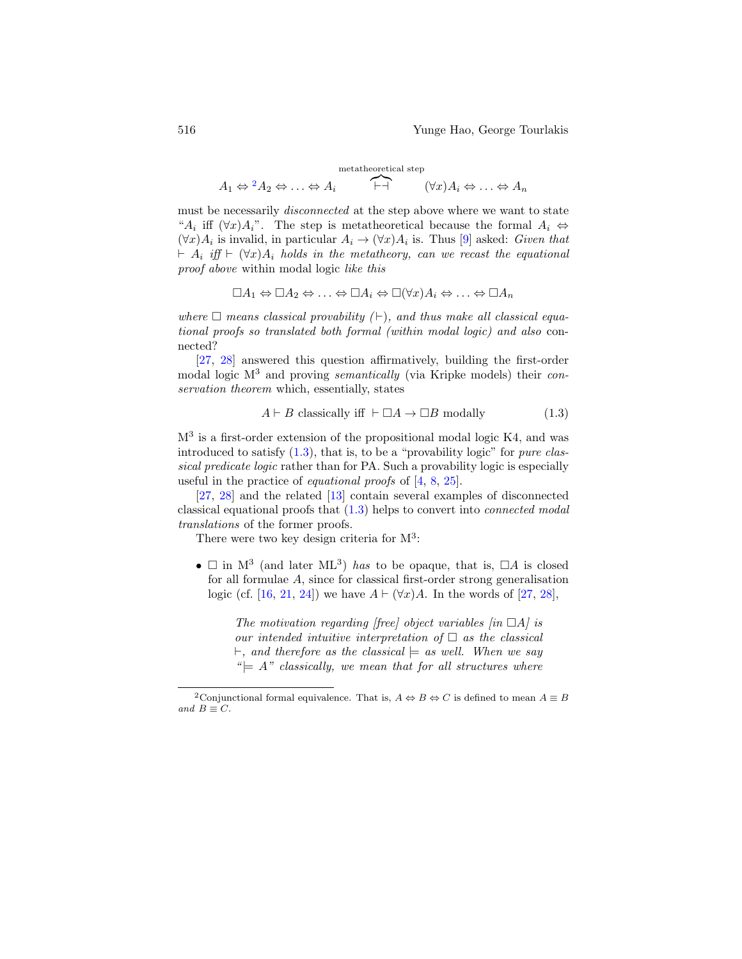metatheoretical step  
\n
$$
A_1 \Leftrightarrow {}^2A_2 \Leftrightarrow \ldots \Leftrightarrow A_i \qquad \qquad \overbrace{\qquad \vdash \neg} \qquad (\forall x) A_i \Leftrightarrow \ldots \Leftrightarrow A_n
$$

must be necessarily *disconnected* at the step above where we want to state " $A_i$  iff  $(\forall x)A_i$ ". The step is metatheoretical because the formal  $A_i \Leftrightarrow$  $(\forall x) A_i$  is invalid, in particular  $A_i \to (\forall x) A_i$  is. Thus [\[9\]](#page-26-2) asked: Given that  $\vdash A_i$  iff  $\vdash (\forall x)A_i$  holds in the metatheory, can we recast the equational proof above within modal logic like this

$$
\Box A_1 \Leftrightarrow \Box A_2 \Leftrightarrow \ldots \Leftrightarrow \Box A_i \Leftrightarrow \Box(\forall x) A_i \Leftrightarrow \ldots \Leftrightarrow \Box A_n
$$

where  $\Box$  means classical provability ( $\vdash$ ), and thus make all classical equational proofs so translated both formal (within modal logic) and also connected?

[\[27,](#page-27-5) [28\]](#page-27-6) answered this question affirmatively, building the first-order modal logic  $M<sup>3</sup>$  and proving *semantically* (via Kripke models) their *con*servation theorem which, essentially, states

<span id="page-3-0"></span>
$$
A \vdash B \text{ classically iff } \vdash \Box A \to \Box B \text{ modally} \tag{1.3}
$$

M<sup>3</sup> is a first-order extension of the propositional modal logic K4, and was introduced to satisfy  $(1.3)$ , that is, to be a "provability logic" for *pure clas*sical predicate logic rather than for PA. Such a provability logic is especially useful in the practice of equational proofs of [\[4,](#page-26-3) [8,](#page-26-4) [25\]](#page-27-7).

[\[27,](#page-27-5) [28\]](#page-27-6) and the related [\[13\]](#page-26-5) contain several examples of disconnected classical equational proofs that [\(1.3\)](#page-3-0) helps to convert into connected modal translations of the former proofs.

There were two key design criteria for  $M^3$ :

•  $\Box$  in M<sup>3</sup> (and later ML<sup>3</sup>) has to be opaque, that is,  $\Box A$  is closed for all formulae A, since for classical first-order strong generalisation logic (cf. [\[16,](#page-27-8) [21,](#page-27-9) [24\]](#page-27-10)) we have  $A \vdash (\forall x)A$ . In the words of [\[27,](#page-27-5) [28\]](#page-27-6),

The motivation regarding [free] object variables [in  $\Box A$ ] is our intended intuitive interpretation of  $\Box$  as the classical  $\vdash$ , and therefore as the classical  $\models$  as well. When we say  $\mathscr{C} \models A$ " classically, we mean that for all structures where

<sup>&</sup>lt;sup>2</sup>Conjunctional formal equivalence. That is,  $A \Leftrightarrow B \Leftrightarrow C$  is defined to mean  $A \equiv B$ and  $B = C$ .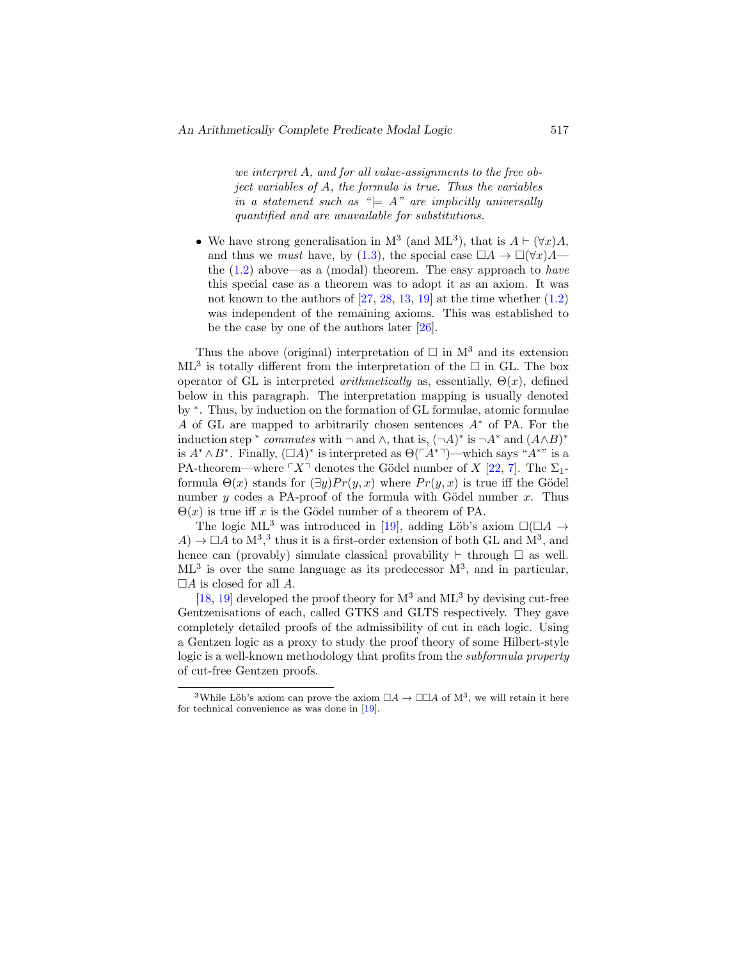we interpret A, and for all value-assignments to the free object variables of A, the formula is true. Thus the variables in a statement such as " $\models A$ " are implicitly universally quantified and are unavailable for substitutions.

• We have strong generalisation in M<sup>3</sup> (and ML<sup>3</sup>), that is  $A \vdash (\forall x)A$ , and thus we *must* have, by [\(1.3\)](#page-3-0), the special case  $\Box A \rightarrow \Box (\forall x)A$  the  $(1.2)$  above—as a (modal) theorem. The easy approach to have this special case as a theorem was to adopt it as an axiom. It was not known to the authors of  $[27, 28, 13, 19]$  $[27, 28, 13, 19]$  $[27, 28, 13, 19]$  $[27, 28, 13, 19]$  $[27, 28, 13, 19]$  $[27, 28, 13, 19]$  at the time whether  $(1.2)$ was independent of the remaining axioms. This was established to be the case by one of the authors later [\[26\]](#page-27-2).

Thus the above (original) interpretation of  $\Box$  in  $M^3$  and its extension  $ML^3$  is totally different from the interpretation of the  $\square$  in GL. The box operator of GL is interpreted *arithmetically* as, essentially,  $\Theta(x)$ , defined below in this paragraph. The interpretation mapping is usually denoted by <sup>∗</sup> . Thus, by induction on the formation of GL formulae, atomic formulae A of GL are mapped to arbitrarily chosen sentences A<sup>∗</sup> of PA. For the induction step \* *commutes* with  $\neg$  and  $\wedge$ , that is,  $(\neg A)^*$  is  $\neg A^*$  and  $(A \wedge B)^*$ is  $A^* \wedge B^*$ . Finally,  $(\Box A)^*$  is interpreted as  $\Theta(\ulcorner A^*\urcorner)$ —which says " $A^{**}$ " is a PA-theorem—where  $\lceil X \rceil$  denotes the Gödel number of X [\[22,](#page-27-4) [7\]](#page-26-6). The  $\Sigma_1$ formula  $\Theta(x)$  stands for  $(\exists y) Pr(y, x)$  where  $Pr(y, x)$  is true iff the Gödel number  $y$  codes a PA-proof of the formula with Gödel number  $x$ . Thus  $\Theta(x)$  is true iff x is the Gödel number of a theorem of PA.

The logic ML<sup>3</sup> was introduced in [\[19\]](#page-27-3), adding Löb's axiom  $\square (\square A \rightarrow \square A)$  $(A) \to \Box A$  to  $M^3$  $M^3$ ,<sup>3</sup> thus it is a first-order extension of both GL and  $M^3$ , and hence can (provably) simulate classical provability  $\vdash$  through  $\Box$  as well.  $ML^3$  is over the same language as its predecessor  $M^3$ , and in particular,  $\Box A$  is closed for all A.

[\[18,](#page-27-11) [19\]](#page-27-3) developed the proof theory for  $M^3$  and  $ML^3$  by devising cut-free Gentzenisations of each, called GTKS and GLTS respectively. They gave completely detailed proofs of the admissibility of cut in each logic. Using a Gentzen logic as a proxy to study the proof theory of some Hilbert-style logic is a well-known methodology that profits from the subformula property of cut-free Gentzen proofs.

<sup>&</sup>lt;sup>3</sup>While Löb's axiom can prove the axiom  $\Box A \to \Box \Box A$  of  $M^3$ , we will retain it here for technical convenience as was done in [\[19\]](#page-27-3).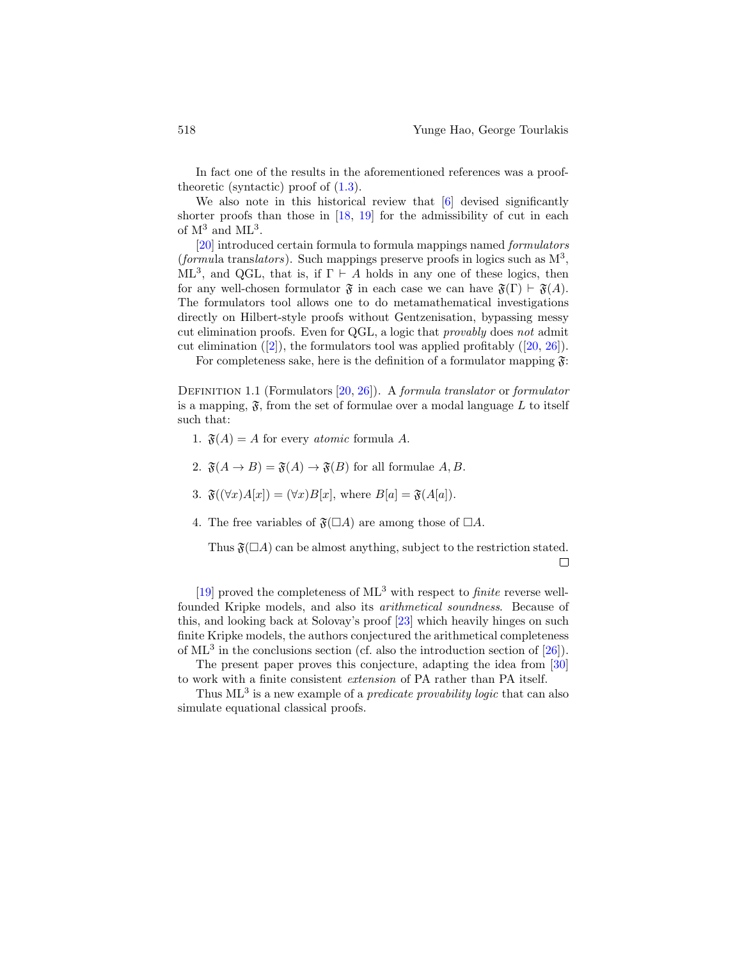In fact one of the results in the aforementioned references was a prooftheoretic (syntactic) proof of  $(1.3)$ .

We also note in this historical review that  $[6]$  devised significantly shorter proofs than those in [\[18,](#page-27-11) [19\]](#page-27-3) for the admissibility of cut in each of  $M^3$  and  $ML^3$ .

[\[20\]](#page-27-12) introduced certain formula to formula mappings named formulators (formula translators). Such mappings preserve proofs in logics such as  $M^3$ , ML<sup>3</sup>, and QGL, that is, if  $\Gamma \vdash A$  holds in any one of these logics, then for any well-chosen formulator  $\mathfrak{F}$  in each case we can have  $\mathfrak{F}(\Gamma) \vdash \mathfrak{F}(A)$ . The formulators tool allows one to do metamathematical investigations directly on Hilbert-style proofs without Gentzenisation, bypassing messy cut elimination proofs. Even for QGL, a logic that provably does not admit cutelimination  $([2])$  $([2])$  $([2])$ , the formulators tool was applied profitably  $([20, 26])$  $([20, 26])$  $([20, 26])$  $([20, 26])$  $([20, 26])$ .

For completeness sake, here is the definition of a formulator mapping  $\mathfrak{F}$ :

DEFINITION 1.1 (Formulators [\[20,](#page-27-12) [26\]](#page-27-2)). A *formula translator* or *formulator* is a mapping,  $\mathfrak{F}$ , from the set of formulae over a modal language L to itself such that:

- 1.  $\mathfrak{F}(A) = A$  for every *atomic* formula A.
- 2.  $\mathfrak{F}(A \rightarrow B) = \mathfrak{F}(A) \rightarrow \mathfrak{F}(B)$  for all formulae A, B.
- 3.  $\mathfrak{F}((\forall x)A[x]) = (\forall x)B[x]$ , where  $B[a] = \mathfrak{F}(A[a])$ .
- 4. The free variables of  $\mathfrak{F}(\Box A)$  are among those of  $\Box A$ .

Thus  $\mathfrak{F}(\Box A)$  can be almost anything, subject to the restriction stated. П

[\[19\]](#page-27-3) proved the completeness of  $ML^3$  with respect to *finite* reverse wellfounded Kripke models, and also its arithmetical soundness. Because of this, and looking back at Solovay's proof [\[23\]](#page-27-13) which heavily hinges on such finite Kripke models, the authors conjectured the arithmetical completeness of  $ML^3$  in the conclusions section (cf. also the introduction section of  $[26]$ ).

The present paper proves this conjecture, adapting the idea from [\[30\]](#page-28-2) to work with a finite consistent extension of PA rather than PA itself.

Thus  $ML^3$  is a new example of a *predicate provability logic* that can also simulate equational classical proofs.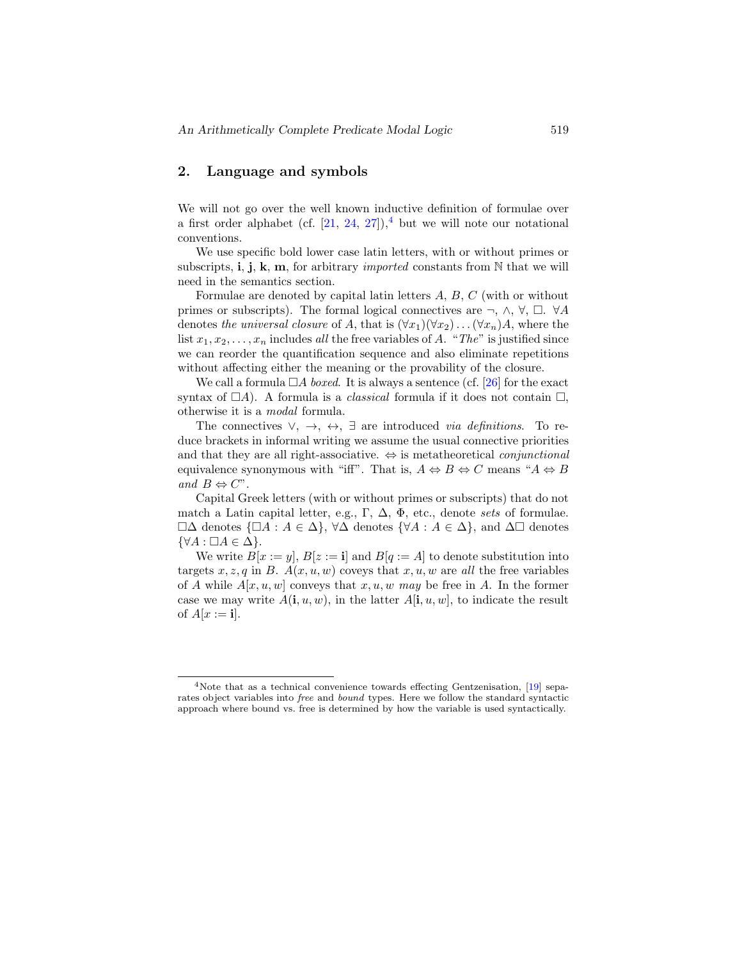### <span id="page-6-0"></span>2. Language and symbols

We will not go over the well known inductive definition of formulae over a first order alphabet (cf.  $[21, 24, 27]$  $[21, 24, 27]$  $[21, 24, 27]$  $[21, 24, 27]$ ),<sup>[4](#page-0-1)</sup> but we will note our notational conventions.

We use specific bold lower case latin letters, with or without primes or subscripts, i, j, k, m, for arbitrary *imported* constants from  $\mathbb N$  that we will need in the semantics section.

Formulae are denoted by capital latin letters  $A, B, C$  (with or without primes or subscripts). The formal logical connectives are  $\neg$ ,  $\wedge$ ,  $\forall$ ,  $\square$ .  $\forall A$ denotes the universal closure of A, that is  $(\forall x_1)(\forall x_2) \dots (\forall x_n)A$ , where the list  $x_1, x_2, \ldots, x_n$  includes all the free variables of A. "The" is justified since we can reorder the quantification sequence and also eliminate repetitions without affecting either the meaning or the provability of the closure.

We call a formula  $\Box A$  boxed. It is always a sentence (cf. [\[26\]](#page-27-2) for the exact syntax of  $\Box A$ ). A formula is a *classical* formula if it does not contain  $\Box$ , otherwise it is a modal formula.

The connectives  $\vee, \rightarrow, \leftrightarrow, \exists$  are introduced *via definitions*. To reduce brackets in informal writing we assume the usual connective priorities and that they are all right-associative.  $\Leftrightarrow$  is metatheoretical *conjunctional* equivalence synonymous with "iff". That is,  $A \Leftrightarrow B \Leftrightarrow C$  means " $A \Leftrightarrow B$ and  $B \Leftrightarrow C^{\prime\prime}$ .

Capital Greek letters (with or without primes or subscripts) that do not match a Latin capital letter, e.g.,  $\Gamma$ ,  $\Delta$ ,  $\Phi$ , etc., denote sets of formulae.  $\Box \Delta$  denotes  $\{\Box A : A \in \Delta\}$ ,  $\forall \Delta$  denotes  $\{\forall A : A \in \Delta\}$ , and  $\Delta \Box$  denotes  $\{\forall A : \Box A \in \Delta\}.$ 

We write  $B[x := y]$ ,  $B[z := i]$  and  $B[q := A]$  to denote substitution into targets x, z, q in B.  $A(x, u, w)$  coveys that x, u, w are all the free variables of A while  $A[x, u, w]$  conveys that  $x, u, w$  may be free in A. In the former case we may write  $A(i, u, w)$ , in the latter  $A[i, u, w]$ , to indicate the result of  $A[x := i]$ .

<sup>&</sup>lt;sup>4</sup>Note that as a technical convenience towards effecting Gentzenisation, [\[19\]](#page-27-3) separates object variables into free and bound types. Here we follow the standard syntactic approach where bound vs. free is determined by how the variable is used syntactically.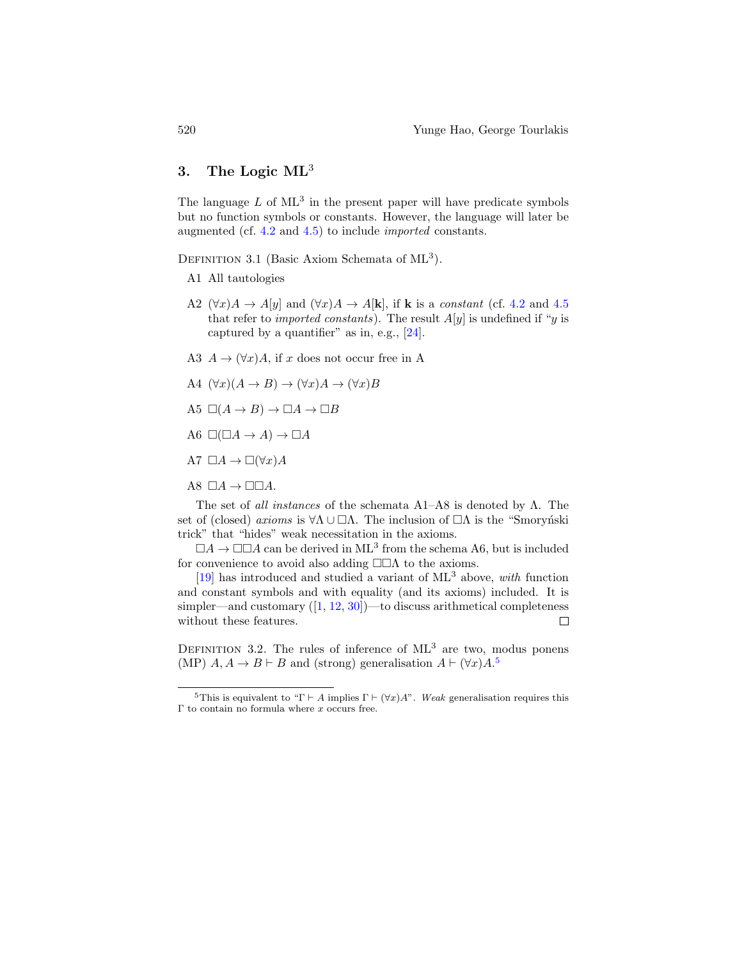# 3. The Logic ML<sup>3</sup>

The language  $L$  of  $ML^3$  in the present paper will have predicate symbols but no function symbols or constants. However, the language will later be augmented (cf. [4.2](#page-8-0) and [4.5\)](#page-9-0) to include imported constants.

<span id="page-7-0"></span>DEFINITION 3.1 (Basic Axiom Schemata of  $ML^3$ ).

A1 All tautologies

- A2  $(\forall x)A \rightarrow A[y]$  and  $(\forall x)A \rightarrow A[k]$ , if **k** is a *constant* (cf. [4.2](#page-8-0) and [4.5](#page-9-0)) that refer to *imported constants*). The result  $A[y]$  is undefined if "y is captured by a quantifier" as in, e.g., [\[24\]](#page-27-10).
- A3  $A \to (\forall x)A$ , if x does not occur free in A
- A4  $(\forall x)(A \rightarrow B) \rightarrow (\forall x)A \rightarrow (\forall x)B$
- A5  $\square(A \to B) \to \square A \to \square B$
- A6  $\square(\square A \rightarrow A) \rightarrow \square A$
- A7  $\Box A \rightarrow \Box (\forall x) A$

A8  $\Box A \rightarrow \Box \Box A$ .

The set of all instances of the schemata  $A1-A8$  is denoted by  $\Lambda$ . The set of (closed) axioms is  $\forall \Lambda \cup \Box \Lambda$ . The inclusion of  $\Box \Lambda$  is the "Smorynski trick" that "hides" weak necessitation in the axioms.

 $\Box A \rightarrow \Box \Box A$  can be derived in ML<sup>3</sup> from the schema A6, but is included for convenience to avoid also adding  $\square \square \Lambda$  to the axioms.

[\[19\]](#page-27-3) has introduced and studied a variant of  $ML^3$  above, with function and constant symbols and with equality (and its axioms) included. It is simpler—andcustomary  $([1, 12, 30])$  $([1, 12, 30])$  $([1, 12, 30])$  $([1, 12, 30])$  $([1, 12, 30])$  $([1, 12, 30])$  $([1, 12, 30])$ —to discuss arithmetical completeness without these features.  $\Box$ 

DEFINITION 3.2. The rules of inference of  $ML^3$  are two, modus ponens (MP)  $A, A \rightarrow B \vdash B$  and (strong) generalisation  $A \vdash (\forall x) A$ .<sup>[5](#page-0-1)</sup>

<sup>&</sup>lt;sup>5</sup>This is equivalent to "Γ  $\vdash$  A implies Γ  $\vdash$  ( $\forall x$ )A". Weak generalisation requires this  $\Gamma$  to contain no formula where x occurs free.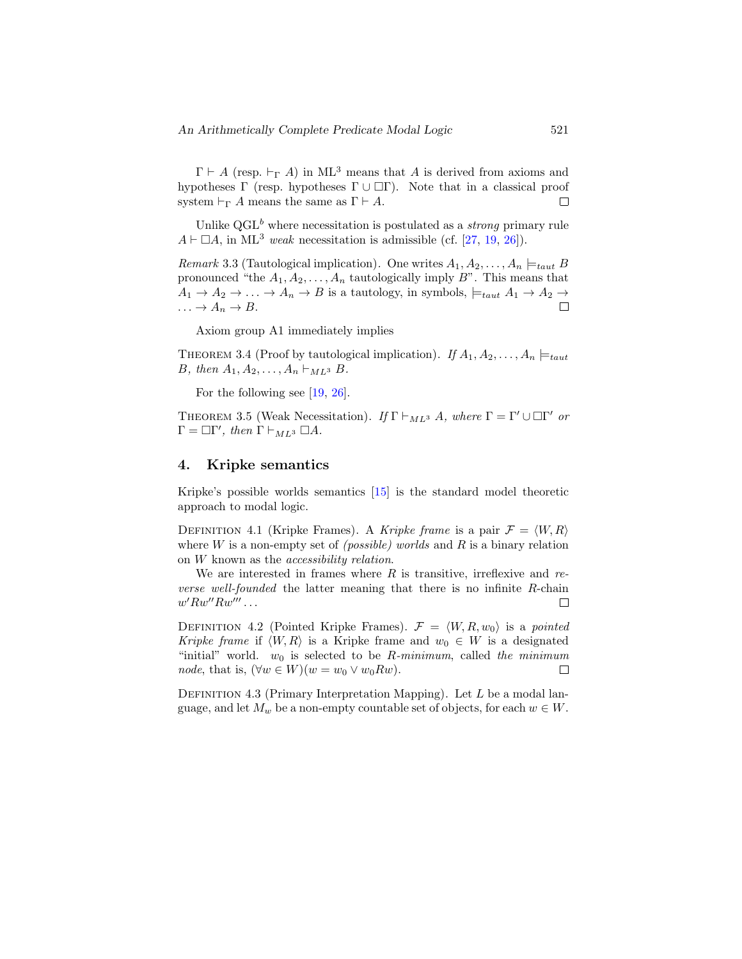$\Gamma \vdash A$  (resp.  $\vdash_{\Gamma} A$ ) in ML<sup>3</sup> means that A is derived from axioms and hypotheses Γ (resp. hypotheses Γ ∪ ΠΓ). Note that in a classical proof system  $\vdash_{\Gamma} A$  means the same as  $\Gamma \vdash A$ . П

Unlike  $QGL^b$  where necessitation is postulated as a *strong* primary rule  $A \vdash \Box A$ , in ML<sup>3</sup> weak necessitation is admissible (cf. [\[27,](#page-27-5) [19,](#page-27-3) [26\]](#page-27-2)).

*Remark* 3.3 (Tautological implication). One writes  $A_1, A_2, \ldots, A_n \models_{taut} B$ pronounced "the  $A_1, A_2, \ldots, A_n$  tautologically imply B". This means that  $A_1 \rightarrow A_2 \rightarrow \ldots \rightarrow A_n \rightarrow B$  is a tautology, in symbols,  $\models_{taut} A_1 \rightarrow A_2 \rightarrow$  $\ldots \to A_n \to B$ .  $\Box$ 

Axiom group A1 immediately implies

THEOREM 3.4 (Proof by tautological implication). If  $A_1, A_2, \ldots, A_n \models_{taut}$ B, then  $A_1, A_2, \ldots, A_n \vdash_{ML^3} B$ .

For the following see [\[19,](#page-27-3) [26\]](#page-27-2).

THEOREM 3.5 (Weak Necessitation). If  $\Gamma \vdash_{ML^3} A$ , where  $\Gamma = \Gamma' \cup \Box \Gamma'$  or  $\Gamma = \Box \Gamma', \text{ then } \Gamma \vdash_{ML^3} \Box A.$ 

#### 4. Kripke semantics

Kripke's possible worlds semantics [\[15\]](#page-26-8) is the standard model theoretic approach to modal logic.

DEFINITION 4.1 (Kripke Frames). A Kripke frame is a pair  $\mathcal{F} = \langle W, R \rangle$ where  $W$  is a non-empty set of *(possible)* worlds and  $R$  is a binary relation on W known as the accessibility relation.

We are interested in frames where  $R$  is transitive, irreflexive and reverse well-founded the latter meaning that there is no infinite R-chain  $w'Rw''Rw''' \dots$  $\Box$ 

<span id="page-8-0"></span>DEFINITION 4.2 (Pointed Kripke Frames).  $\mathcal{F} = \langle W, R, w_0 \rangle$  is a pointed Kripke frame if  $\langle W, R \rangle$  is a Kripke frame and  $w_0 \in W$  is a designated "initial" world.  $w_0$  is selected to be R-minimum, called the minimum *node*, that is,  $(\forall w \in W)(w = w_0 \lor w_0 R w)$ .  $\Box$ 

DEFINITION 4.3 (Primary Interpretation Mapping). Let  $L$  be a modal language, and let  $M_w$  be a non-empty countable set of objects, for each  $w \in W$ .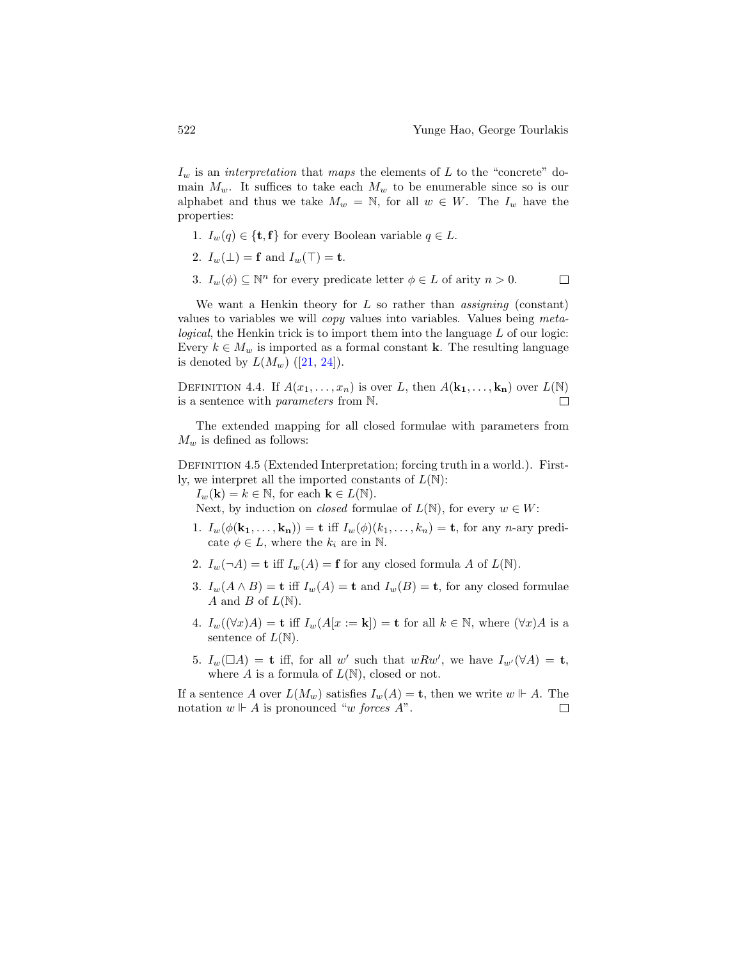$\Box$ 

 $I_w$  is an *interpretation* that maps the elements of L to the "concrete" domain  $M_w$ . It suffices to take each  $M_w$  to be enumerable since so is our alphabet and thus we take  $M_w = \mathbb{N}$ , for all  $w \in W$ . The  $I_w$  have the properties:

- 1.  $I_w(q) \in \{\mathbf{t}, \mathbf{f}\}\$ for every Boolean variable  $q \in L$ .
- 2.  $I_w(\perp) = \mathbf{f}$  and  $I_w(\top) = \mathbf{t}$ .
- 3.  $I_w(\phi) \subseteq \mathbb{N}^n$  for every predicate letter  $\phi \in L$  of arity  $n > 0$ .

We want a Henkin theory for  $L$  so rather than *assigning* (constant) values to variables we will copy values into variables. Values being meta*logical*, the Henkin trick is to import them into the language  $L$  of our logic: Every  $k \in M_w$  is imported as a formal constant **k**. The resulting language isdenoted by  $L(M_w)$  ([\[21,](#page-27-9) [24\]](#page-27-10)).

DEFINITION 4.4. If  $A(x_1, \ldots, x_n)$  is over L, then  $A(\mathbf{k}_1, \ldots, \mathbf{k}_n)$  over  $L(\mathbb{N})$ is a sentence with parameters from N.  $\Box$ 

The extended mapping for all closed formulae with parameters from  $M_w$  is defined as follows:

<span id="page-9-0"></span>DEFINITION 4.5 (Extended Interpretation; forcing truth in a world.). Firstly, we interpret all the imported constants of  $L(\mathbb{N})$ :

 $I_w(\mathbf{k}) = k \in \mathbb{N}$ , for each  $\mathbf{k} \in L(\mathbb{N})$ .

Next, by induction on *closed* formulae of  $L(\mathbb{N})$ , for every  $w \in W$ :

- 1.  $I_w(\phi(\mathbf{k_1},\ldots,\mathbf{k_n})) = \mathbf{t}$  iff  $I_w(\phi)(k_1,\ldots,k_n) = \mathbf{t}$ , for any n-ary predicate  $\phi \in L$ , where the  $k_i$  are in N.
- 2.  $I_w(\neg A) = \mathbf{t}$  iff  $I_w(A) = \mathbf{f}$  for any closed formula A of  $L(\mathbb{N})$ .
- 3.  $I_w(A \wedge B) = \mathbf{t}$  iff  $I_w(A) = \mathbf{t}$  and  $I_w(B) = \mathbf{t}$ , for any closed formulae A and B of  $L(\mathbb{N})$ .
- 4.  $I_w((\forall x)A) = \mathbf{t}$  iff  $I_w(A[x := \mathbf{k}]) = \mathbf{t}$  for all  $k \in \mathbb{N}$ , where  $(\forall x)A$  is a sentence of  $L(\mathbb{N})$ .
- 5.  $I_w(\Box A) = \mathbf{t}$  iff, for all w' such that  $wRw'$ , we have  $I_{w'}(\forall A) = \mathbf{t}$ , where A is a formula of  $L(\mathbb{N})$ , closed or not.

If a sentence A over  $L(M_w)$  satisfies  $I_w(A) = \mathbf{t}$ , then we write  $w \Vdash A$ . The notation  $w \Vdash A$  is pronounced "w forces A".  $\Box$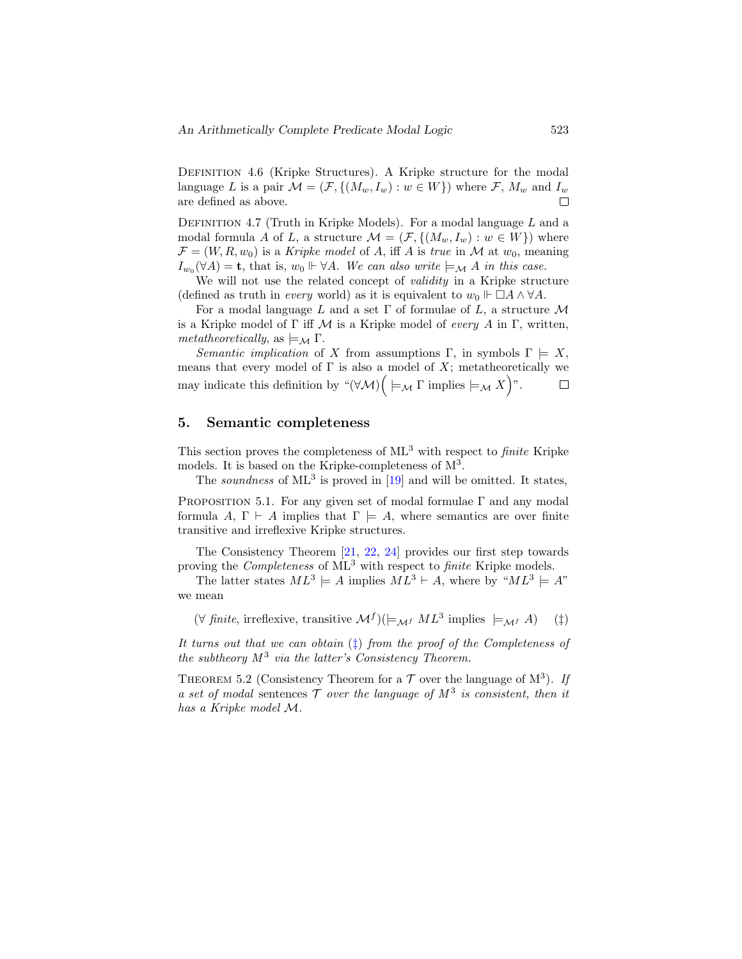DEFINITION 4.6 (Kripke Structures). A Kripke structure for the modal language L is a pair  $\mathcal{M} = (\mathcal{F}, \{(M_w, I_w) : w \in W\})$  where  $\mathcal{F}, M_w$  and  $I_w$ are defined as above.  $\mathsf{L}$ 

DEFINITION 4.7 (Truth in Kripke Models). For a modal language  $L$  and a modal formula A of L, a structure  $\mathcal{M} = (\mathcal{F}, \{(M_w, I_w) : w \in W\})$  where  $\mathcal{F} = (W, R, w_0)$  is a Kripke model of A, iff A is true in M at  $w_0$ , meaning  $I_{w_0}(\forall A) = \mathbf{t}$ , that is,  $w_0 \Vdash \forall A$ . We can also write  $\models_{\mathcal{M}} A$  in this case.

We will not use the related concept of *validity* in a Kripke structure (defined as truth in *every* world) as it is equivalent to  $w_0 \Vdash \Box A \wedge \forall A$ .

For a modal language L and a set  $\Gamma$  of formulae of L, a structure M is a Kripke model of  $\Gamma$  iff M is a Kripke model of *every* A in  $\Gamma$ , written, metatheoretically, as  $\models_M \Gamma$ .

Semantic implication of X from assumptions Γ, in symbols  $\Gamma \models X$ , means that every model of  $\Gamma$  is also a model of X; metatheoretically we may indicate this definition by " $(\forall \mathcal{M})$  $\Big(\models_{\mathcal{M}} \Gamma$  implies  $\models_{\mathcal{M}} X$ <sup>"</sup>).  $\Box$ 

#### 5. Semantic completeness

This section proves the completeness of  $ML^3$  with respect to *finite* Kripke models. It is based on the Kripke-completeness of  $M^3$ .

The soundness of  $ML^3$  is proved in [\[19\]](#page-27-3) and will be omitted. It states,

PROPOSITION 5.1. For any given set of modal formulae  $\Gamma$  and any modal formula A,  $\Gamma \vdash A$  implies that  $\Gamma \models A$ , where semantics are over finite transitive and irreflexive Kripke structures.

The Consistency Theorem [\[21,](#page-27-9) [22,](#page-27-4) [24\]](#page-27-10) provides our first step towards proving the *Completeness* of ML<sup>3</sup> with respect to *finite* Kripke models.

The latter states  $ML^3 \models A$  implies  $ML^3 \models A$ , where by " $ML^3 \models A$ " we mean

<span id="page-10-0"></span> $(\forall \text{ finite, irreflexive, transitive } \mathcal{M}^f)(\models_{\mathcal{M}^f} ML^3 \text{ implies } \models_{\mathcal{M}^f} A)$  (‡)

It turns out that we can obtain  $(\ddagger)$  from the proof of the Completeness of the subtheory  $M^3$  via the latter's Consistency Theorem.

<span id="page-10-1"></span>THEOREM 5.2 (Consistency Theorem for a  $\mathcal T$  over the language of  $M^3$ ). If a set of modal sentences  $\mathcal T$  over the language of  $M^3$  is consistent, then it has a Kripke model M.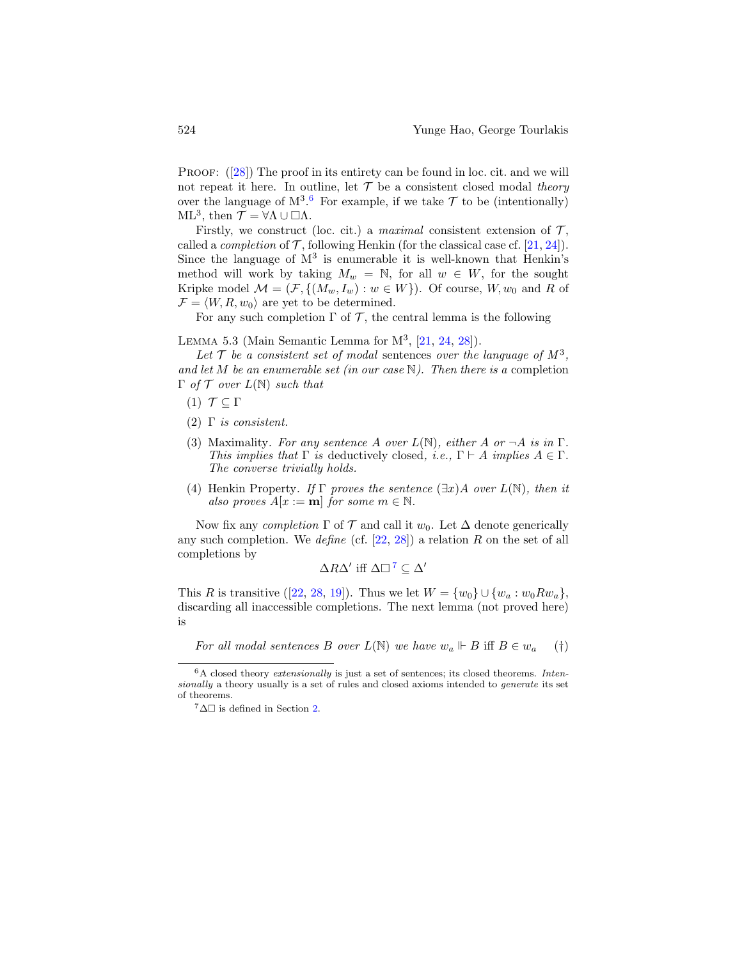PROOF:  $(28)$  The proof in its entirety can be found in loc. cit. and we will not repeat it here. In outline, let  $\mathcal T$  be a consistent closed modal theory over the language of  $M^{3.6}$  $M^{3.6}$  $M^{3.6}$  For example, if we take  $\mathcal T$  to be (intentionally) ML<sup>3</sup>, then  $\mathcal{T} = \forall \Lambda \cup \Box \Lambda$ .

Firstly, we construct (loc. cit.) a maximal consistent extension of  $\mathcal{T}$ , called a *completion* of  $\mathcal{T}$ , following Henkin (for the classical case cf. [\[21,](#page-27-9) [24\]](#page-27-10)). Since the language of  $M^3$  is enumerable it is well-known that Henkin's method will work by taking  $M_w = \mathbb{N}$ , for all  $w \in W$ , for the sought Kripke model  $\mathcal{M} = (\mathcal{F}, \{(M_w, I_w) : w \in W\})$ . Of course,  $W, w_0$  and R of  $\mathcal{F} = \langle W, R, w_0 \rangle$  are yet to be determined.

For any such completion  $\Gamma$  of  $\mathcal T$ , the central lemma is the following

LEMMA 5.3 (Main Semantic Lemma for  $M^3$ ,  $[21, 24, 28]$  $[21, 24, 28]$  $[21, 24, 28]$  $[21, 24, 28]$ ).

Let  $\mathcal T$  be a consistent set of modal sentences over the language of  $M^3$ , and let M be an enumerable set (in our case  $\mathbb N$ ). Then there is a completion  $\Gamma$  of  $\mathcal T$  over  $L(\mathbb N)$  such that

- (1)  $T \subseteq \Gamma$
- (2)  $\Gamma$  is consistent.
- (3) Maximality. For any sentence A over  $L(N)$ , either A or  $\neg A$  is in  $\Gamma$ . This implies that  $\Gamma$  is deductively closed, i.e.,  $\Gamma \vdash A$  implies  $A \in \Gamma$ . The converse trivially holds.
- (4) Henkin Property. If  $\Gamma$  proves the sentence  $(\exists x)A$  over  $L(\mathbb{N})$ , then it also proves  $A[x := m]$  for some  $m \in \mathbb{N}$ .

Now fix any completion  $\Gamma$  of  $\mathcal T$  and call it  $w_0$ . Let  $\Delta$  denote generically any such completion. We define (cf.  $[22, 28]$  $[22, 28]$ ) a relation R on the set of all completions by

<span id="page-11-0"></span>
$$
\Delta R \Delta' \text{ iff } \Delta \Box^7 \subseteq \Delta'
$$

ThisR is transitive ([\[22,](#page-27-4) [28,](#page-27-6) [19\]](#page-27-3)). Thus we let  $W = \{w_0\} \cup \{w_a : w_0 R w_a\}$ , discarding all inaccessible completions. The next lemma (not proved here) is

For all modal sentences B over  $L(\mathbb{N})$  we have  $w_a \Vdash B$  iff  $B \in w_a$  (†)

 $6A$  closed theory extensionally is just a set of sentences; its closed theorems. Intensionally a theory usually is a set of rules and closed axioms intended to generate its set of theorems.

 $7\Delta\Box$  is defined in Section [2.](#page-6-0)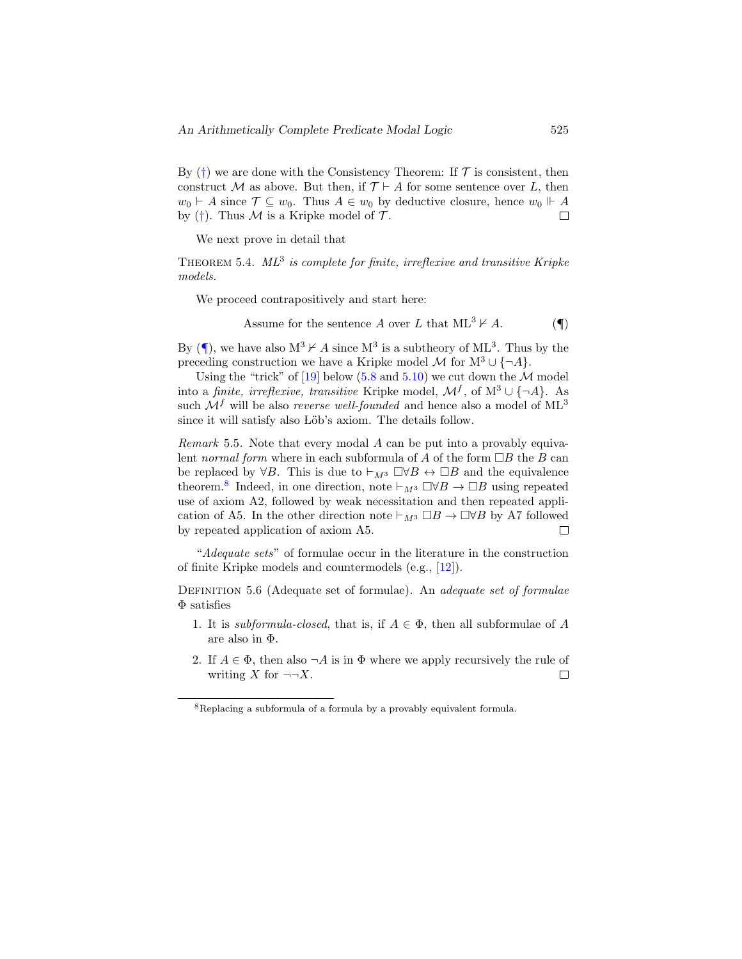By  $(\dagger)$  we are done with the Consistency Theorem: If  $\mathcal T$  is consistent, then construct M as above. But then, if  $\mathcal{T} \vdash A$  for some sentence over L, then  $w_0$   $\vdash$  A since  $\mathcal{T} \subseteq w_0$ . Thus  $A \in w_0$  by deductive closure, hence  $w_0 \Vdash A$  by (†). Thus  $\mathcal{M}$  is a Kripke model of  $\mathcal{T}$ . by  $(\dagger)$ . Thus M is a Kripke model of T.

We next prove in detail that

THEOREM 5.4.  $ML^3$  is complete for finite, irreflexive and transitive Kripke models.

We proceed contrapositively and start here:

<span id="page-12-0"></span>Assume for the sentence A over L that  $ML^3 \nvdash A$ . ( $\P$ )

By  $(\P)$ , we have also  $M^3 \nvdash A$  since  $M^3$  is a subtheory of ML<sup>3</sup>. Thus by the preceding construction we have a Kripke model  $\mathcal M$  for  $M^3 \cup \{\neg A\}$ .

Using the "trick" of [\[19\]](#page-27-3) below [\(5.8](#page-13-0) and [5.10\)](#page-14-0) we cut down the  $\mathcal M$  model into a *finite, irreflexive, transitive* Kripke model,  $\mathcal{M}^f$ , of  $M^3 \cup \{\neg A\}$ . As such  $\mathcal{M}^f$  will be also *reverse well-founded* and hence also a model of  $ML^3$ since it will satisfy also Löb's axiom. The details follow.

Remark 5.5. Note that every modal A can be put into a provably equivalent normal form where in each subformula of A of the form  $\Box B$  the B can be replaced by  $\forall B$ . This is due to  $\vdash_M$   $\Box \forall B \leftrightarrow \Box B$  and the equivalence theorem.<sup>[8](#page-0-1)</sup> Indeed, in one direction, note  $\vdash_{M^3} \Box \forall B \to \Box B$  using repeated use of axiom A2, followed by weak necessitation and then repeated application of A5. In the other direction note  $\vdash_M$ <sup>3</sup>  $\Box B \rightarrow \Box \forall B$  by A7 followed by repeated application of axiom A5. □

"Adequate sets" of formulae occur in the literature in the construction of finite Kripke models and countermodels (e.g., [\[12\]](#page-26-1)).

DEFINITION 5.6 (Adequate set of formulae). An *adequate set of formulae*  $\Phi$  satisfies

- 1. It is *subformula-closed*, that is, if  $A \in \Phi$ , then all subformulae of A are also in Φ.
- 2. If  $A \in \Phi$ , then also  $\neg A$  is in  $\Phi$  where we apply recursively the rule of writing X for  $\neg\neg X$ . П

<sup>8</sup>Replacing a subformula of a formula by a provably equivalent formula.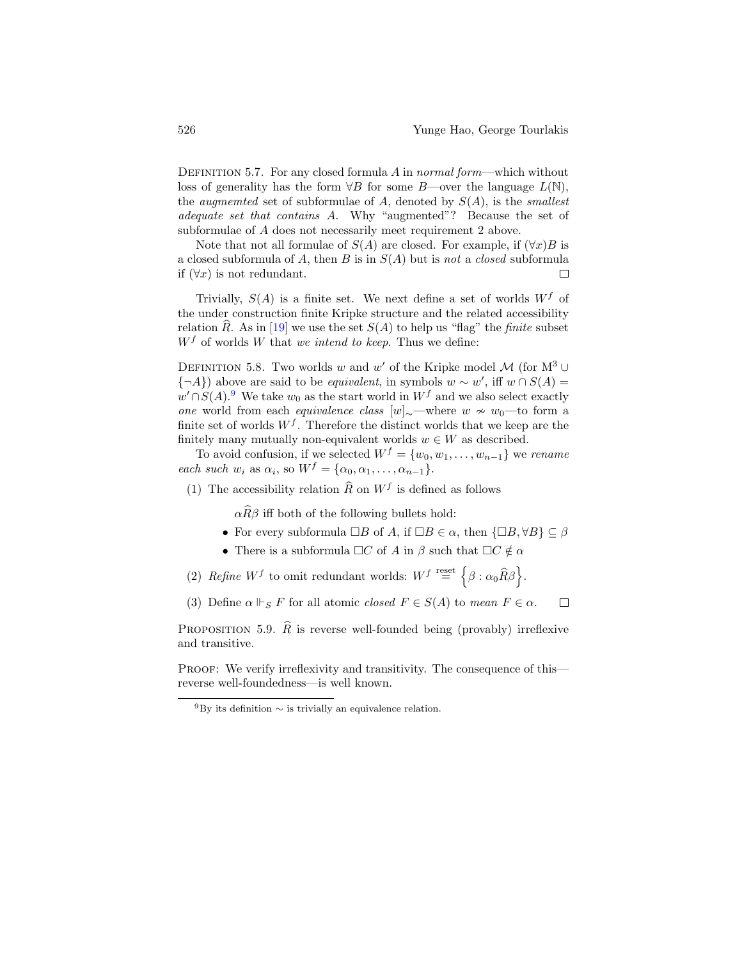DEFINITION 5.7. For any closed formula  $A$  in normal form—which without loss of generality has the form  $\forall B$  for some B—over the language  $L(N)$ , the *augmemted* set of subformulae of A, denoted by  $S(A)$ , is the *smallest* adequate set that contains A. Why "augmented"? Because the set of subformulae of A does not necessarily meet requirement 2 above.

Note that not all formulae of  $S(A)$  are closed. For example, if  $(\forall x)B$  is a closed subformula of A, then B is in  $S(A)$  but is not a closed subformula if  $(\forall x)$  is not redundant.  $\Box$ 

Trivially,  $S(A)$  is a finite set. We next define a set of worlds  $W<sup>f</sup>$  of the under construction finite Kripke structure and the related accessibility relation  $\widehat{R}$ . As in [\[19\]](#page-27-3) we use the set  $S(A)$  to help us "flag" the *finite* subset  $W<sup>f</sup>$  of worlds W that we intend to keep. Thus we define:

<span id="page-13-0"></span>DEFINITION 5.8. Two worlds w and w' of the Kripke model  $\mathcal{M}$  (for  $M^3 \cup$ {¬A}) above are said to be *equivalent*, in symbols  $w \sim w'$ , iff  $w \cap S(A)$  =  $w' \cap S(A)$ . We take  $w_0$  as the start world in  $W<sup>f</sup>$  and we also select exactly *one* world from each *equivalence class* [w]∼—where w  $\sim w_0$ —to form a finite set of worlds  $W<sup>f</sup>$ . Therefore the distinct worlds that we keep are the finitely many mutually non-equivalent worlds  $w \in W$  as described.

To avoid confusion, if we selected  $W^f = \{w_0, w_1, \ldots, w_{n-1}\}\$  we rename each such  $w_i$  as  $\alpha_i$ , so  $W^f = {\alpha_0, \alpha_1, \ldots, \alpha_{n-1}}.$ 

(1) The accessibility relation  $\widehat{R}$  on  $W^f$  is defined as follows

 $\alpha \widehat{R} \beta$  iff both of the following bullets hold:

- For every subformula  $\Box B$  of A, if  $\Box B \in \alpha$ , then  $\{\Box B, \forall B\} \subseteq \beta$
- There is a subformula  $\Box C$  of A in  $\beta$  such that  $\Box C \notin \alpha$

(2) Refine  $W^f$  to omit redundant worlds:  $W^f \stackrel{\text{reset}}{=} \left\{ \beta : \alpha_0 \widehat{R} \beta \right\}.$ 

(3) Define  $\alpha \Vdash_S F$  for all atomic closed  $F \in S(A)$  to mean  $F \in \alpha$ .  $\Box$ 

PROPOSITION 5.9.  $\widehat{R}$  is reverse well-founded being (provably) irreflexive and transitive.

Proof: We verify irreflexivity and transitivity. The consequence of this reverse well-foundedness—is well known.

<sup>&</sup>lt;sup>9</sup>Bv its definition  $\sim$  is trivially an equivalence relation.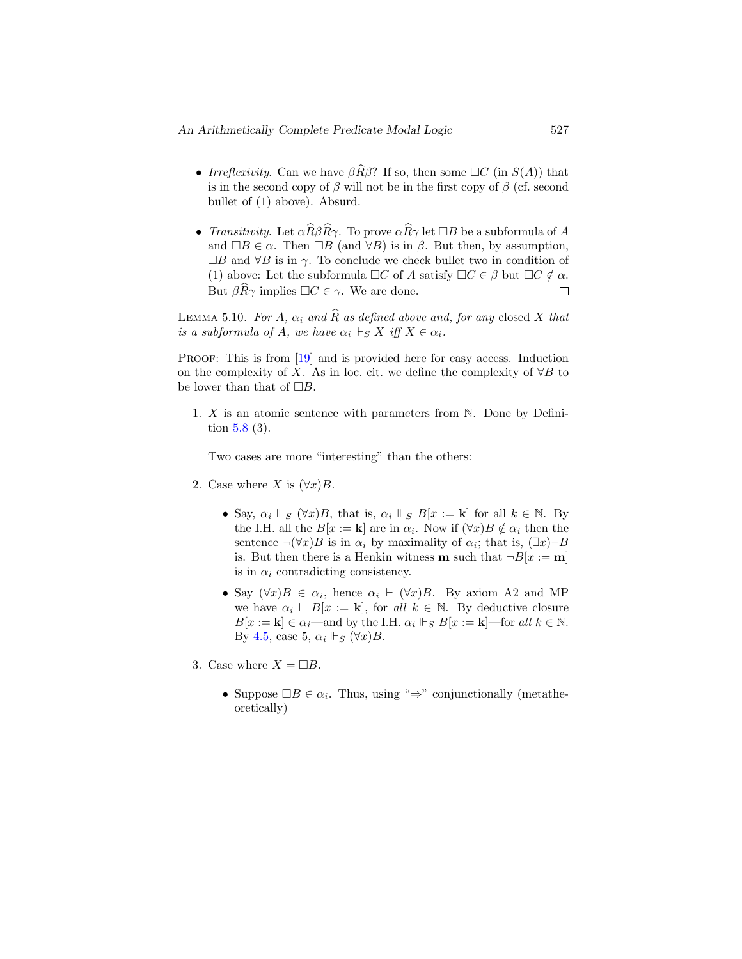- Irreflexivity. Can we have  $\beta \widehat{R} \beta$ ? If so, then some  $\Box C$  (in  $S(A)$ ) that is in the second copy of  $\beta$  will not be in the first copy of  $\beta$  (cf. second bullet of (1) above). Absurd.
- Transitivity. Let  $\alpha \widehat{R} \beta \widehat{R} \gamma$ . To prove  $\alpha \widehat{R} \gamma$  let  $\Box B$  be a subformula of A and  $\Box B \in \alpha$ . Then  $\Box B$  (and  $\forall B$ ) is in  $\beta$ . But then, by assumption,  $\Box B$  and  $\forall B$  is in  $\gamma$ . To conclude we check bullet two in condition of (1) above: Let the subformula  $\Box C$  of A satisfy  $\Box C \in \beta$  but  $\Box C \notin \alpha$ . But  $\beta \widehat{R}\gamma$  implies  $\Box C \in \gamma$ . We are done.  $\Box$

<span id="page-14-0"></span>LEMMA 5.10. For A,  $\alpha_i$  and  $\widehat{R}$  as defined above and, for any closed X that is a subformula of A, we have  $\alpha_i \Vdash_S X$  iff  $X \in \alpha_i$ .

PROOF: This is from [\[19\]](#page-27-3) and is provided here for easy access. Induction on the complexity of X. As in loc. cit. we define the complexity of  $\forall B$  to be lower than that of  $\Box B$ .

1. X is an atomic sentence with parameters from N. Done by Definition [5.8](#page-13-0) (3).

Two cases are more "interesting" than the others:

- 2. Case where X is  $(\forall x)B$ .
	- Say,  $\alpha_i \Vdash_S (\forall x)B$ , that is,  $\alpha_i \Vdash_S B[x := \mathbf{k}]$  for all  $k \in \mathbb{N}$ . By the I.H. all the  $B[x := \mathbf{k}]$  are in  $\alpha_i$ . Now if  $(\forall x)B \notin \alpha_i$  then the sentence  $\neg(\forall x)B$  is in  $\alpha_i$  by maximality of  $\alpha_i$ ; that is,  $(\exists x)\neg B$ is. But then there is a Henkin witness **m** such that  $\neg B[x := m]$ is in  $\alpha_i$  contradicting consistency.
	- Say  $(\forall x)B \in \alpha_i$ , hence  $\alpha_i \vdash (\forall x)B$ . By axiom A2 and MP we have  $\alpha_i \vdash B[x := k]$ , for all  $k \in \mathbb{N}$ . By deductive closure  $B[x := \mathbf{k}] \in \alpha_i$ —and by the I.H.  $\alpha_i \Vdash_S B[x := \mathbf{k}]$ —for all  $k \in \mathbb{N}$ . By [4.5,](#page-9-0) case 5,  $\alpha_i \Vdash_S (\forall x)B$ .
- 3. Case where  $X = \Box B$ .
	- Suppose  $\Box B \in \alpha_i$ . Thus, using " $\Rightarrow$ " conjunctionally (metatheoretically)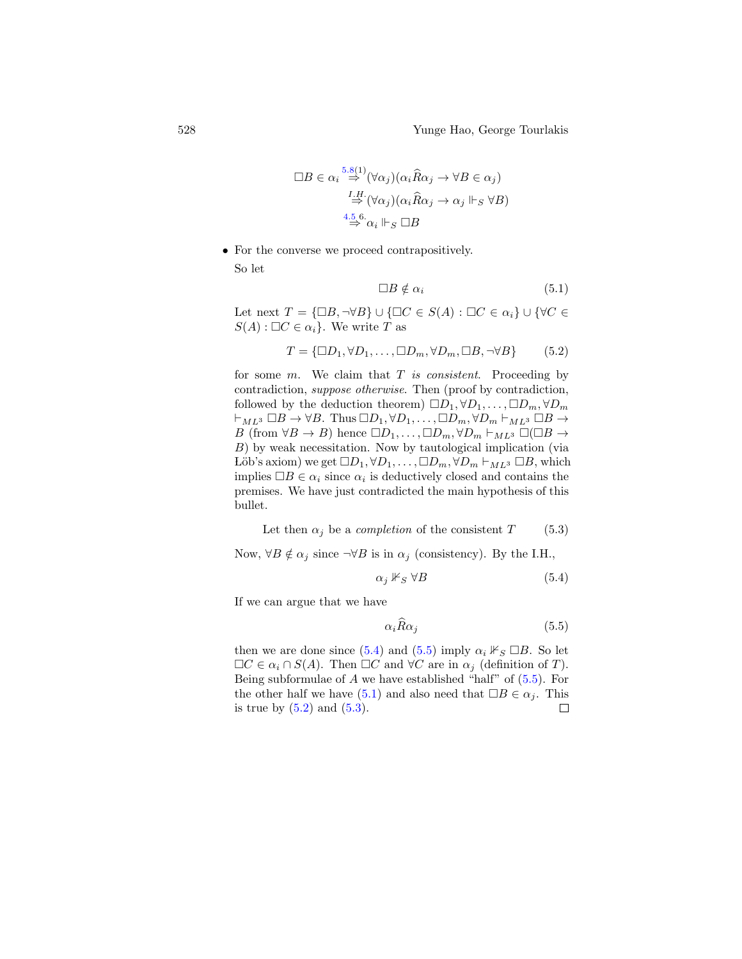$$
\Box B \in \alpha_i \stackrel{5.8(1)}{\Rightarrow} (\forall \alpha_j)(\alpha_i \widehat{R} \alpha_j \to \forall B \in \alpha_j)
$$
  

$$
\stackrel{I.H.}{\Rightarrow} (\forall \alpha_j)(\alpha_i \widehat{R} \alpha_j \to \alpha_j \Vdash_S \forall B)
$$
  

$$
\stackrel{4.5}{\Rightarrow} \alpha_i \Vdash_S \Box B
$$

• For the converse we proceed contrapositively. So let

<span id="page-15-3"></span><span id="page-15-2"></span>
$$
\Box B \notin \alpha_i \tag{5.1}
$$

Let next  $T = {\Box B, \neg \forall B} \cup {\Box C \in S(A) : \Box C \in \alpha_i} \cup {\forall C \in \mathcal{C}}$  $S(A): \Box C \in \alpha_i$ . We write T as

$$
T = \{ \Box D_1, \forall D_1, \dots, \Box D_m, \forall D_m, \Box B, \neg \forall B \} \tag{5.2}
$$

for some  $m$ . We claim that  $T$  is consistent. Proceeding by contradiction, suppose otherwise. Then (proof by contradiction, followed by the deduction theorem)  $\Box D_1, \forall D_1, \ldots, \Box D_m, \forall D_m$  $\vdash_{ML^3} \Box B \to \forall B$ . Thus  $\Box D_1, \forall D_1, \ldots, \Box D_m, \forall D_m \vdash_{ML^3} \Box B \to$ B (from  $\forall B \to B$ ) hence  $\Box D_1, \ldots, \Box D_m, \forall D_m \vdash_{ML^3} \Box (\Box B \to B)$ B) by weak necessitation. Now by tautological implication (via Löb's axiom) we get  $\Box D_1, \forall D_1, \ldots, \Box D_m, \forall D_m \vdash_{ML^3} \Box B$ , which implies  $\Box B \in \alpha_i$  since  $\alpha_i$  is deductively closed and contains the premises. We have just contradicted the main hypothesis of this bullet.

Let then  $\alpha_j$  be a *completion* of the consistent T (5.3)

Now,  $\forall B \notin \alpha_i$  since  $\neg \forall B$  is in  $\alpha_j$  (consistency). By the I.H.,

<span id="page-15-4"></span><span id="page-15-0"></span>
$$
\alpha_j \nVdash_S \forall B \tag{5.4}
$$

If we can argue that we have

<span id="page-15-1"></span>
$$
\alpha_i \hat{R} \alpha_j \tag{5.5}
$$

then we are done since [\(5.4\)](#page-15-0) and [\(5.5\)](#page-15-1) imply  $\alpha_i \not\vdash_S \Box B$ . So let  $\Box C \in \alpha_i \cap S(A)$ . Then  $\Box C$  and  $\forall C$  are in  $\alpha_j$  (definition of T). Being subformulae of A we have established "half" of  $(5.5)$ . For the other half we have [\(5.1\)](#page-15-2) and also need that  $\Box B \in \alpha_i$ . This is true by  $(5.2)$  and  $(5.3)$ .  $\Box$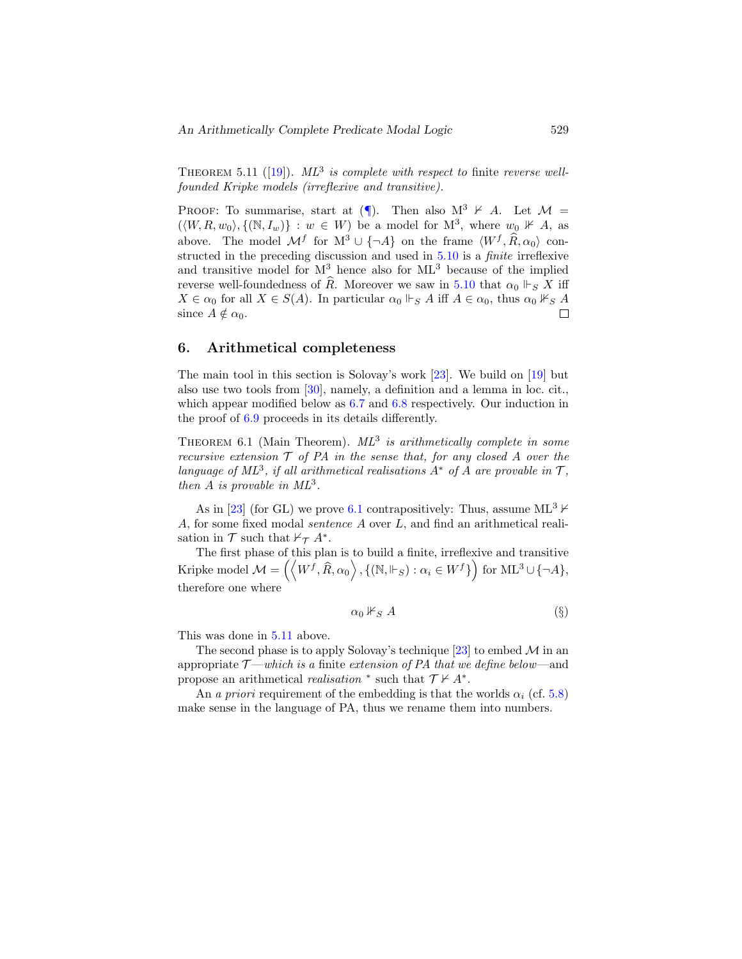<span id="page-16-1"></span>THEOREM5.11 ([\[19\]](#page-27-3)).  $ML^3$  is complete with respect to finite reverse wellfounded Kripke models (irreflexive and transitive).

PROOF: To summarise, start at  $(\P)$ . Then also M<sup>3</sup>  $\nvdash$  A. Let  $\mathcal{M} =$  $(\langle W, R, w_0 \rangle, \{(\mathbb{N}, I_w)\} : w \in W)$  be a model for  $\mathbb{N}^3$ , where  $w_0 \nVdash A$ , as above. The model  $\mathcal{M}^f$  for  $M^3 \cup \{\neg A\}$  on the frame  $\langle W^f, \hat{R}, \alpha_0 \rangle$  constructed in the preceding discussion and used in [5.10](#page-14-0) is a finite irreflexive and transitive model for  $M^3$  hence also for  $ML^3$  because of the implied reverse well-foundedness of  $\widehat{R}$ . Moreover we saw in [5.10](#page-14-0) that  $\alpha_0 \Vdash_S X$  iff  $X \in \alpha_0$  for all  $X \in S(A)$ . In particular  $\alpha_0 \Vdash_S A$  iff  $A \in \alpha_0$ , thus  $\alpha_0 \nvDash_S A$ since  $A \notin \alpha_0$ . П

#### <span id="page-16-3"></span>6. Arithmetical completeness

The main tool in this section is Solovay's work [\[23\]](#page-27-13). We build on [\[19\]](#page-27-3) but also use two tools from [\[30\]](#page-28-2), namely, a definition and a lemma in loc. cit., which appear modified below as  $6.7$  and  $6.8$  respectively. Our induction in the proof of [6.9](#page-21-0) proceeds in its details differently.

<span id="page-16-0"></span>THEOREM 6.1 (Main Theorem).  $ML^3$  is arithmetically complete in some recursive extension  $\mathcal T$  of PA in the sense that, for any closed A over the language of  $ML^3$ , if all arithmetical realisations  $A^*$  of  $A$  are provable in  $\mathcal{T}$ , then  $A$  is provable in  $ML^3$ .

As in [\[23\]](#page-27-13) (for GL) we prove [6.1](#page-16-0) contrapositively: Thus, assume  $ML^3 \nvdash$ A, for some fixed modal sentence A over L, and find an arithmetical realisation in  $\mathcal T$  such that  $\nvdash_{\mathcal T} A^*$ .

The first phase of this plan is to build a finite, irreflexive and transitive  $\text{Kripke model } \mathcal{M}=\left(\left\langle W^f, \widehat{R}, \alpha_0 \right\rangle, \left\{ \left(\mathbb{N}, \Vdash_S\right): \alpha_i \in W^f \right\} \right) \text{ for ML}^3 \cup \{\neg A\},$ therefore one where

<span id="page-16-2"></span>
$$
\alpha_0 \nVdash_S A \tag{§}
$$

This was done in [5.11](#page-16-1) above.

The second phase is to apply Solovay's technique  $[23]$  to embed M in an appropriate  $\mathcal{T}-$ which is a finite extension of PA that we define below—and propose an arithmetical *realisation*  $*$  such that  $\mathcal{T} \nvdash A^*$ .

An a priori requirement of the embedding is that the worlds  $\alpha_i$  (cf. [5.8\)](#page-13-0) make sense in the language of PA, thus we rename them into numbers.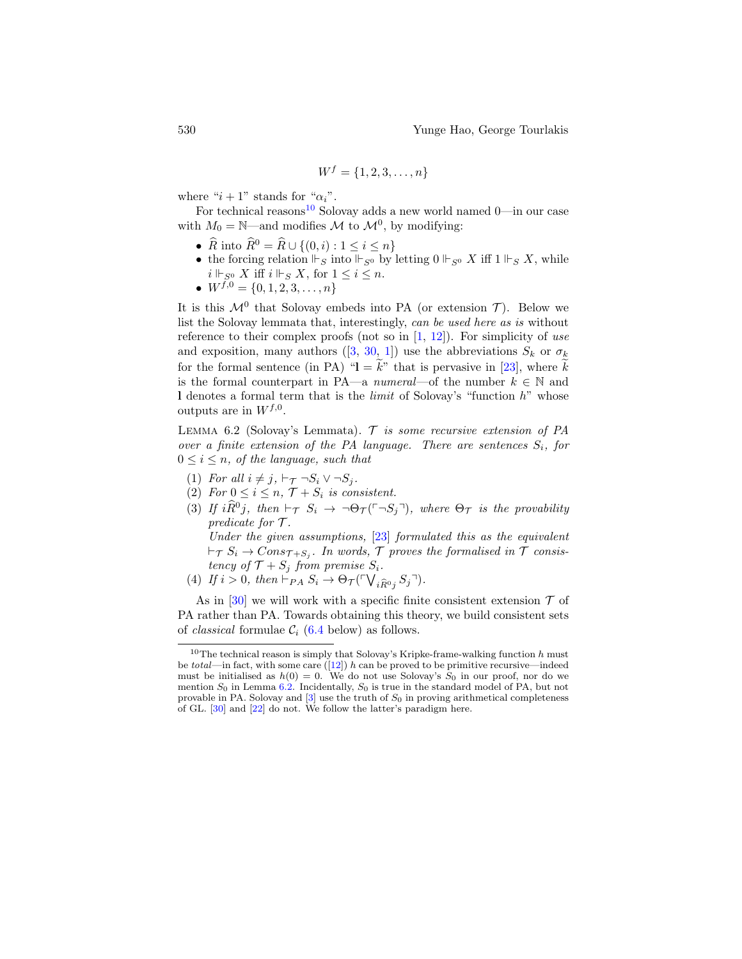$$
W^f = \{1, 2, 3, \dots, n\}
$$

where " $i + 1$ " stands for " $\alpha_i$ ".

For technical reasons<sup>[10](#page-0-1)</sup> Solovay adds a new world named  $0$ —in our case with  $M_0 = \mathbb{N}$ —and modifies  $\mathcal{M}$  to  $\mathcal{M}^0$ , by modifying:

- $\hat{R}$  into  $\hat{R}^0 = \hat{R} \cup \{(0, i) : 1 \leq i \leq n\}$
- the forcing relation  $\Vdash_S$  into  $\Vdash_{S^0}$  by letting  $0 \Vdash_{S^0} X$  iff  $1 \Vdash_S X$ , while  $i \Vdash_{S^0} X$  iff  $i \Vdash_S X$ , for  $1 \leq i \leq n$ .
- $W^{f,0} = \{0, 1, 2, 3, \ldots, n\}$

It is this  $\mathcal{M}^0$  that Solovay embeds into PA (or extension  $\mathcal{T}$ ). Below we list the Solovay lemmata that, interestingly, can be used here as is without reference to their complex proofs (not so in  $[1, 12]$  $[1, 12]$ ). For simplicity of use andexposition, many authors ([\[3,](#page-26-0) [30,](#page-28-2) [1\]](#page-25-1)) use the abbreviations  $S_k$  or  $\sigma_k$ for the formal sentence (in PA) " $\mathbf{l} = \tilde{k}$ " that is pervasive in [\[23\]](#page-27-13), where  $\tilde{k}$ is the formal counterpart in PA—a numeral—of the number  $k \in \mathbb{N}$  and I denotes a formal term that is the *limit* of Solovay's "function  $h$ " whose outputs are in  $W^{f,0}$ .

<span id="page-17-0"></span>LEMMA 6.2 (Solovay's Lemmata).  $\mathcal T$  is some recursive extension of PA over a finite extension of the PA language. There are sentences  $S_i$ , for  $0 \leq i \leq n$ , of the language, such that

- (1) For all  $i \neq j$ ,  $\vdash_{\mathcal{T}} \neg S_i \vee \neg S_i$ .
- (2) For  $0 \leq i \leq n$ ,  $\mathcal{T} + S_i$  is consistent.
- (3) If  $i\hat{R}^0 j$ , then  $\vdash_{\mathcal{T}} S_i \rightarrow \neg \Theta_{\mathcal{T}}(\ulcorner \neg S_j \urcorner)$ , where  $\Theta_{\mathcal{T}}$  is the provability predicate for T . Under the given assumptions,  $[23]$  formulated this as the equivalent

 $\vdash_{\mathcal{T}} S_i \to Cons_{\mathcal{T}+S_j}$ . In words,  $\mathcal{T}$  proves the formalised in  $\mathcal{T}$  consistency of  $\mathcal{T} + S_j$  from premise  $S_i$ .

(4) If  $i > 0$ , then  $\vdash_{PA} S_i \to \Theta_{\mathcal{T}}(\ulcorner \bigvee_{i \widehat{R}^0} S_j \urcorner).$ 

As in [\[30\]](#page-28-2) we will work with a specific finite consistent extension  $\mathcal T$  of PA rather than PA. Towards obtaining this theory, we build consistent sets of *classical* formulae  $C_i$  [\(6.4](#page-18-0) below) as follows.

<sup>&</sup>lt;sup>10</sup>The technical reason is simply that Solovay's Kripke-frame-walking function  $h$  must betotal—in fact, with some care  $([12])$  $([12])$  $([12])$  h can be proved to be primitive recursive—indeed must be initialised as  $h(0) = 0$ . We do not use Solovay's  $S_0$  in our proof, nor do we mention  $S_0$  in Lemma [6.2.](#page-17-0) Incidentally,  $S_0$  is true in the standard model of PA, but not provable in PA. Solovay and  $[3]$  use the truth of  $S_0$  in proving arithmetical completeness of GL. [\[30\]](#page-28-2) and [\[22\]](#page-27-4) do not. We follow the latter's paradigm here.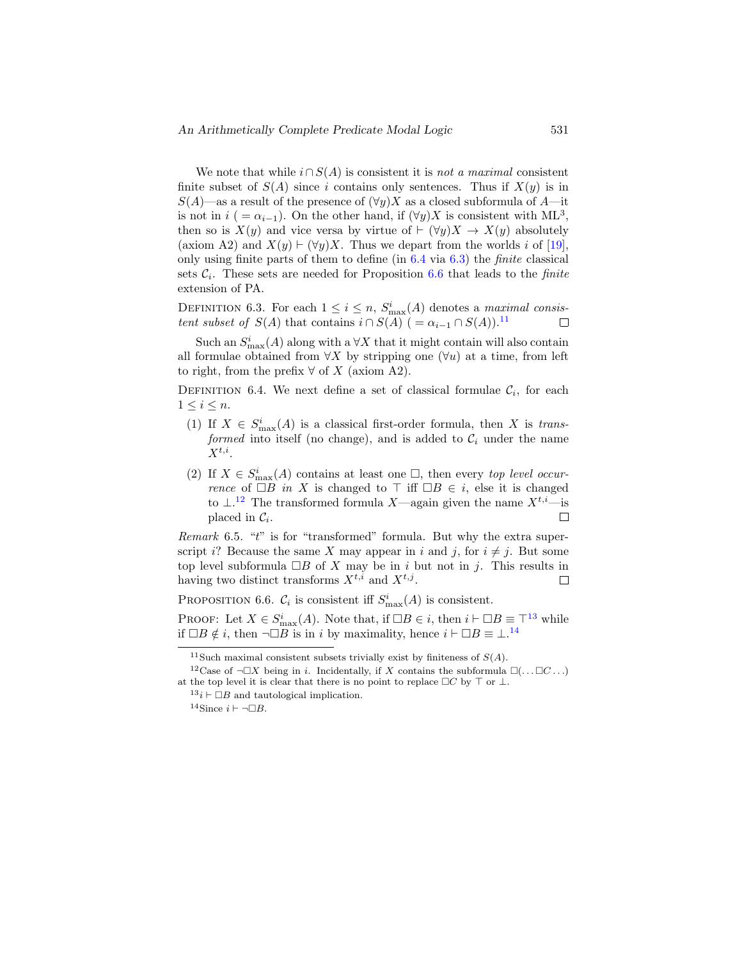We note that while  $i \cap S(A)$  is consistent it is *not a maximal* consistent finite subset of  $S(A)$  since i contains only sentences. Thus if  $X(y)$  is in  $S(A)$ —as a result of the presence of  $(\forall y)X$  as a closed subformula of A—it is not in  $i$  ( =  $\alpha_{i-1}$ ). On the other hand, if  $(\forall y)X$  is consistent with ML<sup>3</sup>, then so is  $X(y)$  and vice versa by virtue of  $\vdash (\forall y)X \rightarrow X(y)$  absolutely (axiom A2) and  $X(y) \vdash (\forall y) X$ . Thus we depart from the worlds i of [\[19\]](#page-27-3), only using finite parts of them to define (in [6.4](#page-18-0) via [6.3\)](#page-18-1) the finite classical sets  $C_i$ . These sets are needed for Proposition [6.6](#page-18-2) that leads to the *finite* extension of PA.

<span id="page-18-1"></span>DEFINITION 6.3. For each  $1 \leq i \leq n$ ,  $S_{\text{max}}^{i}(A)$  denotes a *maximal consis*tent subset of  $S(A)$  that contains  $i \cap S(A)$  ( =  $\alpha_{i-1} \cap S(A)$ ).<sup>[11](#page-0-1)</sup> П

Such an  $S^i_{\text{max}}(A)$  along with a  $\forall X$  that it might contain will also contain all formulae obtained from  $\forall X$  by stripping one  $(\forall u)$  at a time, from left to right, from the prefix  $\forall$  of X (axiom A2).

<span id="page-18-0"></span>DEFINITION 6.4. We next define a set of classical formulae  $\mathcal{C}_i$ , for each  $1\leq i\leq n$ .

- (1) If  $X \in S^i_{\text{max}}(A)$  is a classical first-order formula, then X is transformed into itself (no change), and is added to  $\mathcal{C}_i$  under the name  $X^{t,i}.$
- (2) If  $X \in S^i_{\text{max}}(A)$  contains at least one  $\square$ , then every top level occurrence of  $\Box B$  in X is changed to  $\top$  iff  $\Box B \in i$ , else it is changed to  $\perp$ .<sup>[12](#page-0-1)</sup> The transformed formula X—again given the name  $X^{t,i}$ —is  $\Box$ placed in  $\mathcal{C}_i$ .

Remark 6.5. "t" is for "transformed" formula. But why the extra superscript i? Because the same X may appear in i and j, for  $i \neq j$ . But some top level subformula  $\Box B$  of X may be in i but not in j. This results in having two distinct transforms  $X^{t,i}$  and  $X^{t,j}$ .  $\Box$ 

<span id="page-18-2"></span>PROPOSITION 6.6.  $\mathcal{C}_i$  is consistent iff  $S^i_{\text{max}}(A)$  is consistent.

PROOF: Let  $X \in S_{\text{max}}^i(A)$ . Note that, if  $\Box B \in i$ , then  $i \vdash \Box B \equiv \top^{13}$  $i \vdash \Box B \equiv \top^{13}$  $i \vdash \Box B \equiv \top^{13}$  while if  $\Box B \notin i$ , then  $\neg \Box B$  is in i by maximality, hence  $i \vdash \Box B \equiv \bot^{14}$  $i \vdash \Box B \equiv \bot^{14}$  $i \vdash \Box B \equiv \bot^{14}$ 

<sup>&</sup>lt;sup>11</sup>Such maximal consistent subsets trivially exist by finiteness of  $S(A)$ .

<sup>&</sup>lt;sup>12</sup>Case of  $\neg \Box X$  being in *i*. Incidentally, if X contains the subformula  $\Box(\ldots \Box C \ldots)$ at the top level it is clear that there is no point to replace  $\Box C$  by  $\top$  or  $\bot$ .

 $13i \vdash \Box B$  and tautological implication.

<sup>&</sup>lt;sup>14</sup>Since  $i \vdash \neg \Box B$ .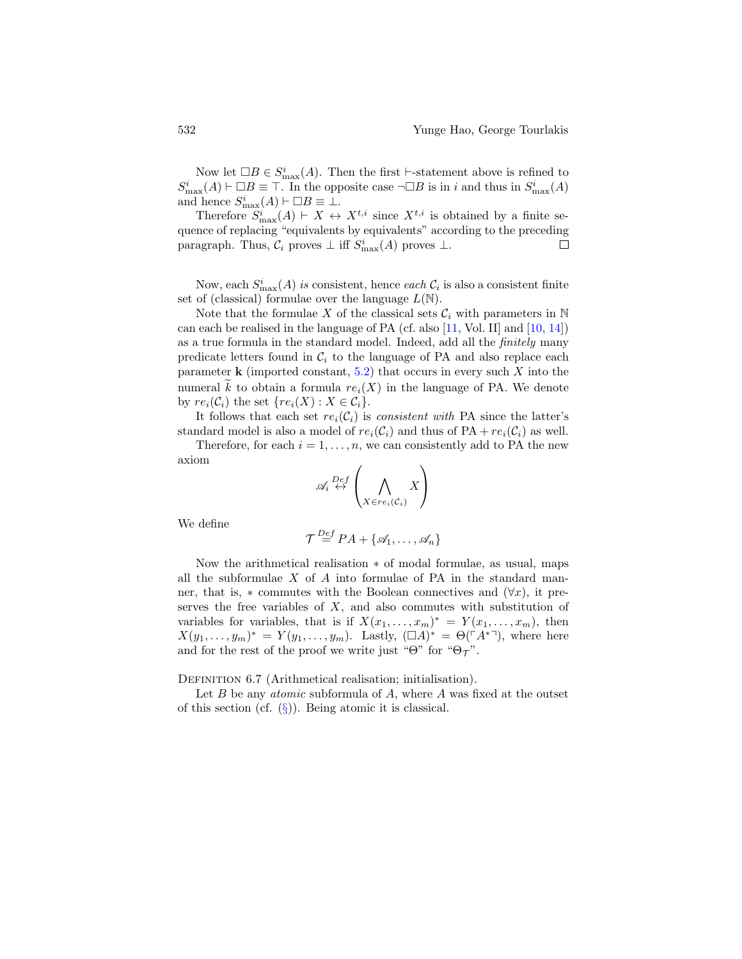Now let  $\Box B \in S^i_{\text{max}}(A)$ . Then the first  $\vdash$ -statement above is refined to  $S_{\text{max}}^i(A) \vdash \Box B \equiv \top$ . In the opposite case  $\neg \Box B$  is in i and thus in  $S_{\text{max}}^i(A)$ and hence  $S_{\text{max}}^i(A) \vdash \Box B \equiv \bot$ .

Therefore  $S_{\text{max}}^i(A) \vdash X \leftrightarrow X^{t,i}$  since  $X^{t,i}$  is obtained by a finite sequence of replacing "equivalents by equivalents" according to the preceding paragraph. Thus,  $C_i$  proves  $\perp$  iff  $S^i_{\text{max}}(A)$  proves  $\perp$ . П

Now, each  $S_{\text{max}}^i(A)$  is consistent, hence each  $\mathcal{C}_i$  is also a consistent finite set of (classical) formulae over the language  $L(\mathbb{N})$ .

Note that the formulae X of the classical sets  $\mathcal{C}_i$  with parameters in N can each be realised in the language of PA (cf. also  $[11, Vol. II]$  and  $[10, 14]$  $[10, 14]$ ) as a true formula in the standard model. Indeed, add all the finitely many predicate letters found in  $\mathcal{C}_i$  to the language of PA and also replace each parameter  $k$  (imported constant, [5.2\)](#page-10-1) that occurs in every such  $X$  into the numeral k to obtain a formula  $re_i(X)$  in the language of PA. We denote by  $re_i(\mathcal{C}_i)$  the set  $\{re_i(X): X \in \mathcal{C}_i\}.$ 

It follows that each set  $re_i(\mathcal{C}_i)$  is consistent with PA since the latter's standard model is also a model of  $re_i(\mathcal{C}_i)$  and thus of  $PA + re_i(\mathcal{C}_i)$  as well.

Therefore, for each  $i = 1, \ldots, n$ , we can consistently add to PA the new axiom

$$
\mathscr{A}_i \stackrel{Def}{\leftrightarrow} \left( \bigwedge_{X \in re_i(\mathcal{C}_i)} X \right)
$$

We define

$$
\mathcal{T} \stackrel{Def}{=} PA + \{\mathscr{A}_1, \ldots, \mathscr{A}_n\}
$$

Now the arithmetical realisation ∗ of modal formulae, as usual, maps all the subformulae X of A into formulae of PA in the standard manner, that is,  $*$  commutes with the Boolean connectives and  $(\forall x)$ , it preserves the free variables of  $X$ , and also commutes with substitution of variables for variables, that is if  $X(x_1, \ldots, x_m)^* = Y(x_1, \ldots, x_m)$ , then  $X(y_1,\ldots,y_m)^* = Y(y_1,\ldots,y_m)$ . Lastly,  $(\Box A)^* = \Theta(\Box A^{*})$ , where here and for the rest of the proof we write just " $\Theta$ " for " $\Theta \tau$ ".

<span id="page-19-0"></span>DEFINITION 6.7 (Arithmetical realisation; initialisation).

Let  $B$  be any *atomic* subformula of  $A$ , where  $A$  was fixed at the outset of this section (cf.  $(\S)$ ). Being atomic it is classical.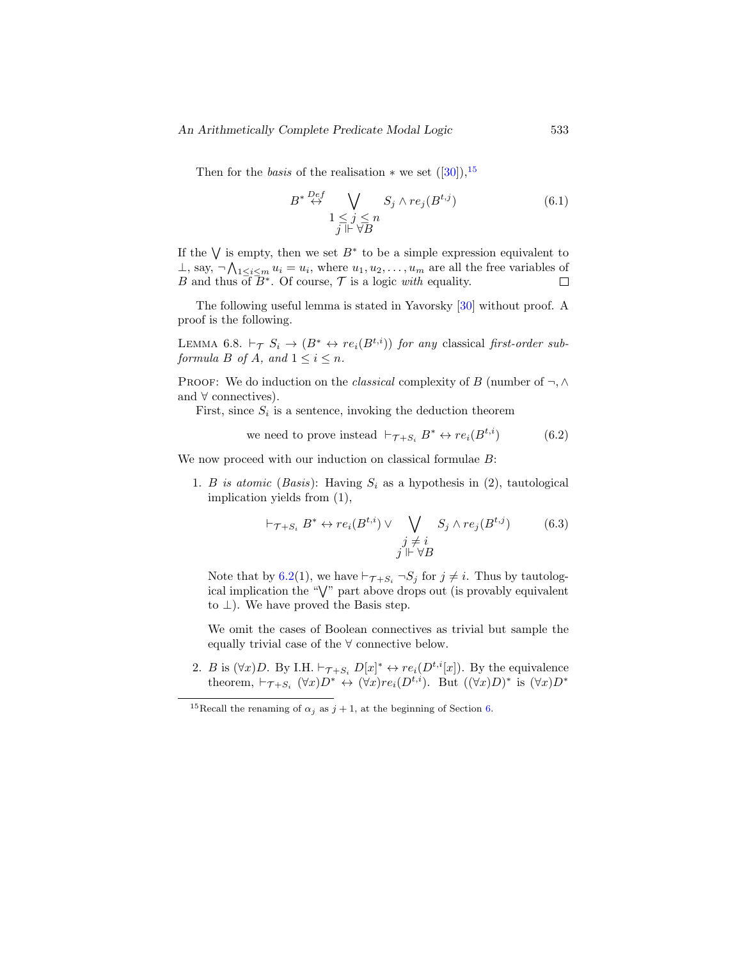Thenfor the *basis* of the realisation  $*$  we set  $([30])$  $([30])$  $([30])$ ,<sup>[15](#page-0-1)</sup>

<span id="page-20-1"></span>
$$
B^* \stackrel{Def}{\leftrightarrow} \bigvee_{\substack{1 \le j \le n \\ j \mid \vdash \forall B}} S_j \wedge re_j(B^{t,j}) \tag{6.1}
$$

If the  $\bigvee$  is empty, then we set  $B^*$  to be a simple expression equivalent to  $\perp$ , say,  $\neg \bigwedge_{1 \leq i \leq m} u_i = u_i$ , where  $u_1, u_2, \ldots, u_m$  are all the free variables of B and thus of  $\overline{B}^*$ . Of course,  $\mathcal T$  is a logic with equality.  $\Box$ 

The following useful lemma is stated in Yavorsky [\[30\]](#page-28-2) without proof. A proof is the following.

<span id="page-20-0"></span>LEMMA 6.8.  $\vdash_{\mathcal{T}} S_i \rightarrow (B^* \leftrightarrow re_i(B^{t,i}))$  for any classical first-order subformula B of A, and  $1 \leq i \leq n$ .

PROOF: We do induction on the *classical* complexity of B (number of  $\neg$ ,  $\wedge$ and  $\forall$  connectives).

First, since  $S_i$  is a sentence, invoking the deduction theorem

we need to prove instead 
$$
\vdash_{\mathcal{T}+S_i} B^* \leftrightarrow re_i(B^{t,i})
$$
 (6.2)

We now proceed with our induction on classical formulae  $B$ :

1. B is atomic (Basis): Having  $S_i$  as a hypothesis in (2), tautological implication yields from (1),

$$
\vdash_{\mathcal{T}+S_i} B^* \leftrightarrow re_i(B^{t,i}) \lor \bigvee_{\substack{j \neq i \\ j \parallel \vdash \forall B}} S_j \land re_j(B^{t,j}) \tag{6.3}
$$

Note that by [6.2\(](#page-17-0)1), we have  $\vdash_{\mathcal{T}+S_i} \neg S_i$  for  $j \neq i$ . Thus by tautological implication the "W " part above drops out (is provably equivalent to  $\perp$ ). We have proved the Basis step.

We omit the cases of Boolean connectives as trivial but sample the equally trivial case of the  $\forall$  connective below.

2. B is  $(\forall x)D$ . By I.H.  $\vdash_{\mathcal{T}+S_i} D[x]^* \leftrightarrow re_i(D^{t,i}[x])$ . By the equivalence theorem,  $\vdash_{\mathcal{T}+S_i} (\forall x)D^* \leftrightarrow (\forall x)re_i(D^{t,i})$ . But  $((\forall x)D)^*$  is  $(\forall x)D^*$ 

<sup>&</sup>lt;sup>15</sup>Recall the renaming of  $\alpha_i$  as  $j+1$ , at the beginning of Section [6.](#page-16-3)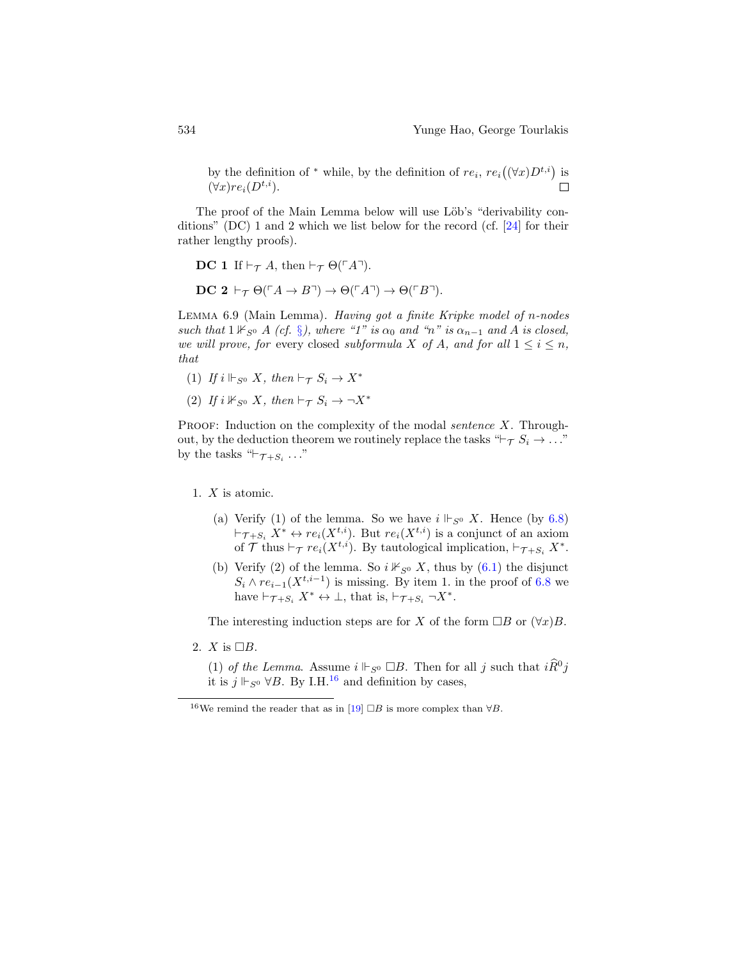by the definition of  $*$  while, by the definition of  $re_i$ ,  $re_i((\forall x)D^{t,i})$  is  $(\forall x) re_i(D^{t,i}).$ П

The proof of the Main Lemma below will use Löb's "derivability conditions" (DC) 1 and 2 which we list below for the record (cf.  $[24]$  for their rather lengthy proofs).

**DC** 1 If  $\vdash_{\mathcal{T}} A$ , then  $\vdash_{\mathcal{T}} \Theta(\ulcorner A\urcorner).$ 

DC 2  $\vdash_{\mathcal{T}} \Theta(\ulcorner A \to B \urcorner) \to \Theta(\ulcorner A \urcorner) \to \Theta(\ulcorner B \urcorner).$ 

<span id="page-21-0"></span>LEMMA 6.9 (Main Lemma). Having got a finite Kripke model of n-nodes such that  $1 \nvDash_{S^0} A$  (cf. [§](#page-16-2)), where "1" is  $\alpha_0$  and "n" is  $\alpha_{n-1}$  and A is closed, we will prove, for every closed subformula X of A, and for all  $1 \leq i \leq n$ ,  $that$ 

- (1) If  $i \Vdash_{S^0} X$ , then  $\vdash_{\mathcal{T}} S_i \to X^*$
- (2) If  $i \nvDash_{S^0} X$ , then  $\vdash_{\mathcal{T}} S_i \to \neg X^*$

**PROOF:** Induction on the complexity of the modal *sentence X*. Throughout, by the deduction theorem we routinely replace the tasks " $\vdash_{\mathcal{T}} S_i \rightarrow \ldots$ " by the tasks " $\vdash_{\mathcal{T}+S_i} \ldots$ "

1.  $X$  is atomic.

- (a) Verify (1) of the lemma. So we have  $i \Vdash_{S^0} X$ . Hence (by [6.8\)](#page-20-0)  $\vdash_{\mathcal{T}+S_i} X^* \leftrightarrow re_i(X^{t,i})$ . But  $re_i(X^{t,i})$  is a conjunct of an axiom of  $\mathcal T$  thus  $\vdash_{\mathcal T} re_i(X^{t,i})$ . By tautological implication,  $\vdash_{\mathcal T + S_i} X^*$ .
- (b) Verify (2) of the lemma. So  $i \nvDash_{S^0} X$ , thus by [\(6.1\)](#page-20-1) the disjunct  $S_i \wedge re_{i-1}(X^{t,i-1})$  is missing. By item 1. in the proof of [6.8](#page-20-0) we have  $\vdash_{\mathcal{T}+S_i} X^* \leftrightarrow \bot$ , that is,  $\vdash_{\mathcal{T}+S_i} \neg X^*$ .

The interesting induction steps are for X of the form  $\Box B$  or  $(\forall x)B$ .

2. X is  $\Box B$ .

(1) of the Lemma. Assume  $i \Vdash_{S^0} \Box B$ . Then for all j such that  $i\hat{R}^0j$ it is  $j \Vdash_{S^0} \forall B$ . By I.H.<sup>[16](#page-0-1)</sup> and definition by cases,

<sup>&</sup>lt;sup>16</sup>We remind the reader that as in [\[19\]](#page-27-3)  $\Box B$  is more complex than  $\forall B$ .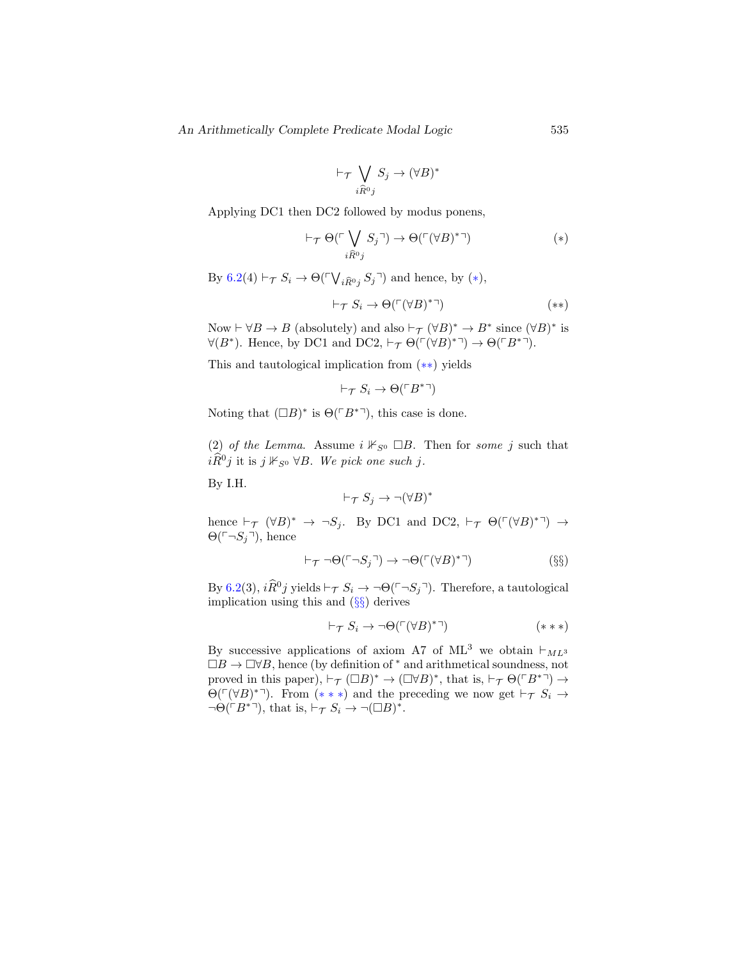<span id="page-22-0"></span>
$$
\vdash_{\mathcal{T}} \bigvee_{i \widehat{R}^0 j} S_j \to (\forall B)^*
$$

Applying DC1 then DC2 followed by modus ponens,

$$
\vdash_{\mathcal{T}} \Theta(\ulcorner \bigvee_{i \widehat{R}^0 j} S_j \urcorner) \to \Theta(\ulcorner (\forall B)^* \urcorner) \tag{*}
$$

By [6.2\(](#page-17-0)4)  $\vdash_{\mathcal{T}} S_i \to \Theta(\ulcorner \bigvee_{i \widehat{R}^0 j} S_j \urcorner)$  and hence, by (\*),

<span id="page-22-1"></span>
$$
\vdash_{\mathcal{T}} S_i \to \Theta(\ulcorner (\forall B)^* \urcorner) \tag{**}
$$

Now  $\vdash \forall B \to B$  (absolutely) and also  $\vdash_{\mathcal{T}} (\forall B)^* \to B^*$  since  $(\forall B)^*$  is  $\forall (B^*)$ . Hence, by DC1 and DC2,  $\vdash_{\mathcal{T}} \Theta(\ulcorner (\forall B)^{*\urcorner}) \to \Theta(\ulcorner B^{*\urcorner}).$ 

This and tautological implication from ([∗∗](#page-22-1)) yields

$$
\vdash_{\mathcal{T}} S_i \to \Theta(\ulcorner B^{*\urcorner})
$$

Noting that  $(\Box B)^*$  is  $\Theta(\ulcorner B^{*\urcorner})$ , this case is done.

(2) of the Lemma. Assume  $i \nvdash_{S^0} \Box B$ . Then for some j such that  $i\widehat{R}^0 j$  it is  $j\nVdash_{S^0} \forall B$ . We pick one such j.

By I.H.

<span id="page-22-2"></span>
$$
\vdash_{\mathcal{T}} S_j \to \neg(\forall B)^*
$$

hence  $\vdash_{\mathcal{T}} (\forall B)^* \rightarrow \neg S_j$ . By DC1 and DC2,  $\vdash_{\mathcal{T}} \Theta(\ulcorner (\forall B)^* \urcorner) \rightarrow$  $\Theta(\ulcorner \neg S_i \urcorner)$ , hence

$$
\vdash_{\mathcal{T}} \neg \Theta(\ulcorner \neg S_j \urcorner) \to \neg \Theta(\ulcorner (\forall B)^* \urcorner)
$$
\n
$$
\tag{\S\S}
$$

By [6.2\(](#page-17-0)3),  $i\widehat{R}^0 j$  yields  $\vdash_{\mathcal{T}} S_i \to \neg \Theta(\ulcorner \neg S_j \urcorner)$ . Therefore, a tautological implication using this and ([§§](#page-22-2)) derives

<span id="page-22-3"></span>
$$
\vdash_{\mathcal{T}} S_i \to \neg \Theta(\ulcorner (\forall B)^* \urcorner) \tag{***}
$$

By successive applications of axiom A7 of ML<sup>3</sup> we obtain  $\vdash_{ML^3}$  $\Box B \rightarrow \Box \forall B$ , hence (by definition of \* and arithmetical soundness, not proved in this paper),  $\vdash_{\mathcal{T}} (\Box B)^* \to (\Box \forall B)^*$ , that is,  $\vdash_{\mathcal{T}} \Theta(\ulcorner B^{*} \urcorner) \to$  $\Theta(\ulcorner(\forall B)^*\urcorner)$ . From  $(***)$  and the preceding we now get  $\vdash_{\mathcal{T}} S_i \to$  $\neg\Theta(\ulcorner B^{*} \urcorner), \text{ that is, } \vdash_{\mathcal{T}} S_i \to \neg (\Box B)^*.$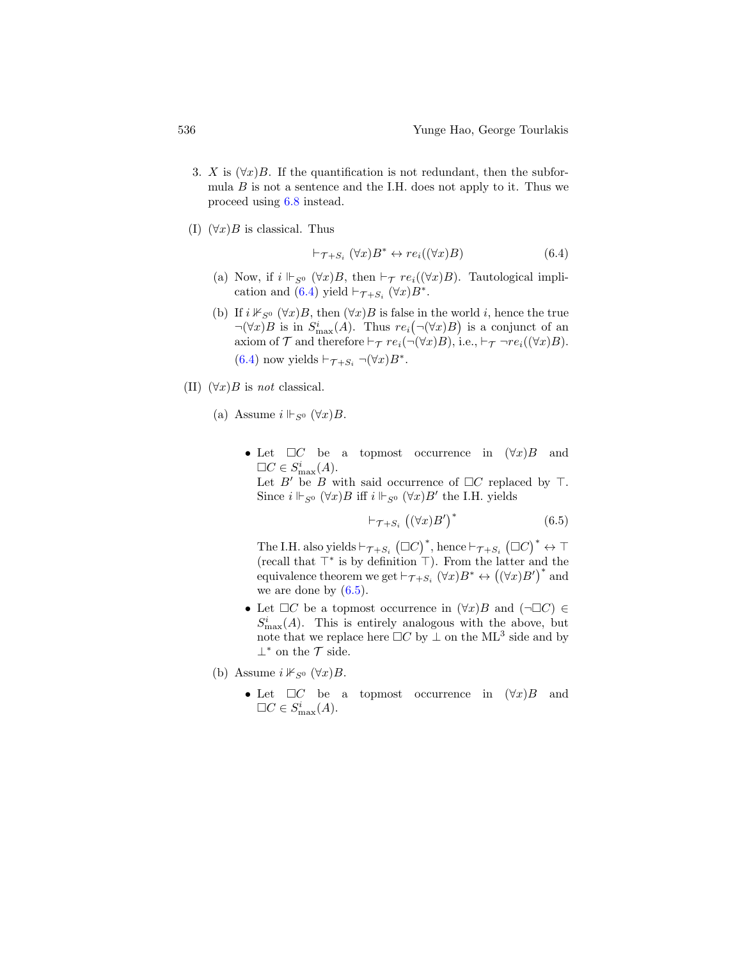- 3. X is  $(\forall x)B$ . If the quantification is not redundant, then the subformula  $B$  is not a sentence and the I.H. does not apply to it. Thus we proceed using [6.8](#page-20-0) instead.
- (I)  $(\forall x)B$  is classical. Thus

<span id="page-23-0"></span>
$$
\vdash_{\mathcal{T}+S_i} (\forall x) B^* \leftrightarrow re_i((\forall x) B) \tag{6.4}
$$

- (a) Now, if  $i \Vdash_{S^0} (\forall x)B$ , then  $\vdash_{\mathcal{T}} re_i((\forall x)B)$ . Tautological impli-cation and [\(6.4\)](#page-23-0) yield  $\vdash_{\mathcal{T}+S_i} (\forall x)B^*$ .
- (b) If  $i \nvDash_{S^0} (\forall x)B$ , then  $(\forall x)B$  is false in the world i, hence the true  $\neg(\forall x)B$  is in  $S_{\text{max}}^i(A)$ . Thus  $re_i(\neg(\forall x)B)$  is a conjunct of an axiom of  $\mathcal T$  and therefore  $\vdash_{\mathcal T} re_i(\neg(\forall x)B)$ , i.e.,  $\vdash_{\mathcal T} \neg re_i((\forall x)B)$ . [\(6.4\)](#page-23-0) now yields  $\vdash_{\mathcal{T}+S_i} \neg (\forall x)B^*$ .
- (II)  $(\forall x)B$  is not classical.
	- (a) Assume  $i \Vdash_{S^0} (\forall x)B$ .
		- Let  $\Box C$  be a topmost occurrence in  $(\forall x)B$  and  $\Box C \in S_{\max}^i(A).$

Let B' be B with said occurrence of  $\Box C$  replaced by T. Since  $i \Vdash_{S^0} (\forall x)B$  iff  $i \Vdash_{S^0} (\forall x)B'$  the I.H. yields

<span id="page-23-1"></span>
$$
\vdash_{\mathcal{T}+S_i} ((\forall x)B')^* \tag{6.5}
$$

The I.H. also yields  $\vdash_{\mathcal{T}+S_i} (\Box C)^*$ , hence  $\vdash_{\mathcal{T}+S_i} (\Box C)^* \leftrightarrow \top$ (recall that  $\top^*$  is by definition  $\top$ ). From the latter and the equivalence theorem we get  $\vdash_{\mathcal{T}+S_i} (\forall x) B^* \leftrightarrow (\forall x) B')^*$  and we are done by  $(6.5)$ .

- Let  $\Box C$  be a topmost occurrence in  $(\forall x)B$  and  $(\neg \Box C) \in$  $S_{\text{max}}^{i}(A)$ . This is entirely analogous with the above, but note that we replace here  $\Box C$  by  $\bot$  on the ML<sup>3</sup> side and by  $\perp^*$  on the  $\mathcal T$  side.
- (b) Assume  $i \nvDash_{S^0} (\forall x)B$ .
	- Let  $\Box C$  be a topmost occurrence in  $(\forall x)B$  and  $\Box C \in S_{\max}^i(A).$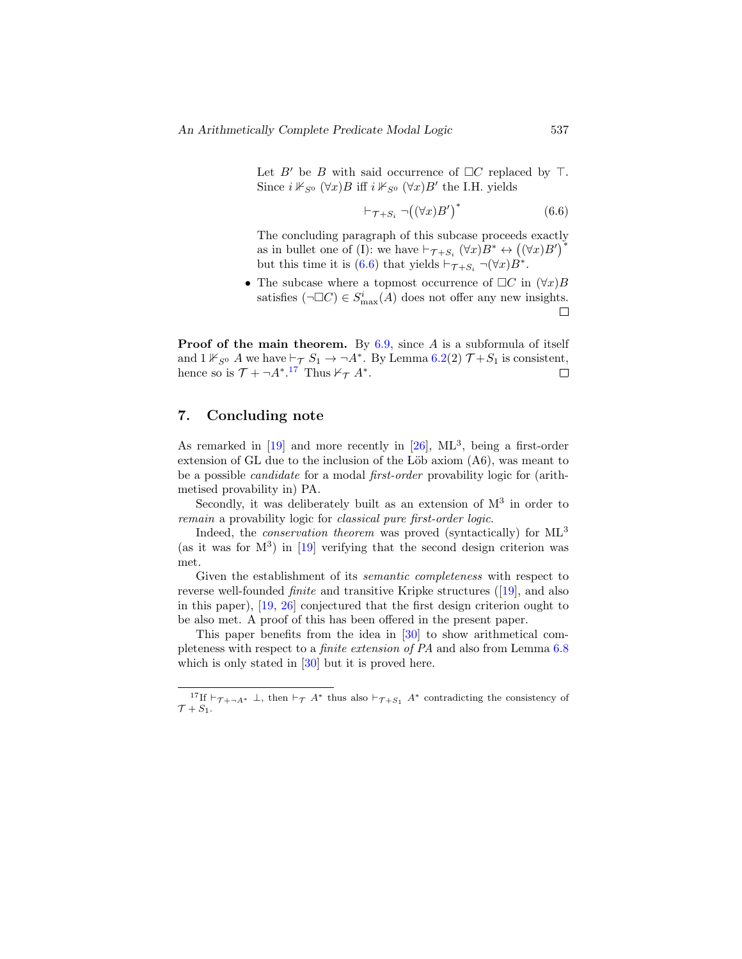Let B' be B with said occurrence of  $\Box C$  replaced by T. Since  $i \nvDash_{S^0} (\forall x)B$  iff  $i \nvDash_{S^0} (\forall x)B'$  the I.H. yields

<span id="page-24-0"></span>
$$
\vdash_{\mathcal{T}+S_i} \neg((\forall x)B')^* \tag{6.6}
$$

The concluding paragraph of this subcase proceeds exactly as in bullet one of (I): we have  $\vdash_{\mathcal{T}+S_i} (\forall x) B^* \leftrightarrow ((\forall x) B')^*$ but this time it is [\(6.6\)](#page-24-0) that yields  $\vdash_{\mathcal{T}+S_i} \neg(\forall x)B^*$ .

• The subcase where a topmost occurrence of  $\Box C$  in  $(\forall x)B$ satisfies  $(\neg \Box C) \in S^i_{\text{max}}(A)$  does not offer any new insights. □

**Proof of the main theorem.** By  $6.9$ , since A is a subformula of itself and  $1 \nvdash_{S^0} A$  we have  $\vdash_{\mathcal{T}} S_1 \to \neg A^*$ . By Lemma [6.2\(](#page-17-0)2)  $\mathcal{T} + S_1$  is consistent, hence so is  $\mathcal{T} + \neg A^*$ .<sup>[17](#page-0-1)</sup> Thus  $\nvdash_{\mathcal{T}} A^*$ . □

### 7. Concluding note

As remarked in  $[19]$  and more recently in  $[26]$ ,  $ML^3$ , being a first-order extension of GL due to the inclusion of the Löb axiom  $(46)$ , was meant to be a possible candidate for a modal first-order provability logic for (arithmetised provability in) PA.

Secondly, it was deliberately built as an extension of  $M<sup>3</sup>$  in order to remain a provability logic for classical pure first-order logic.

Indeed, the *conservation theorem* was proved (syntactically) for  $ML^3$ (as it was for  $M^3$ ) in [\[19\]](#page-27-3) verifying that the second design criterion was met.

Given the establishment of its semantic completeness with respect to reversewell-founded *finite* and transitive Kripke structures ([\[19\]](#page-27-3), and also in this paper), [\[19,](#page-27-3) [26\]](#page-27-2) conjectured that the first design criterion ought to be also met. A proof of this has been offered in the present paper.

This paper benefits from the idea in [\[30\]](#page-28-2) to show arithmetical completeness with respect to a finite extension of PA and also from Lemma [6.8](#page-20-0) which is only stated in  $[30]$  but it is proved here.

<sup>&</sup>lt;sup>17</sup>If  $\vdash_{\mathcal{T} + \neg A^*} \bot$ , then  $\vdash_{\mathcal{T}} A^*$  thus also  $\vdash_{\mathcal{T} + S_1} A^*$  contradicting the consistency of  $\mathcal{T} + S_1$ .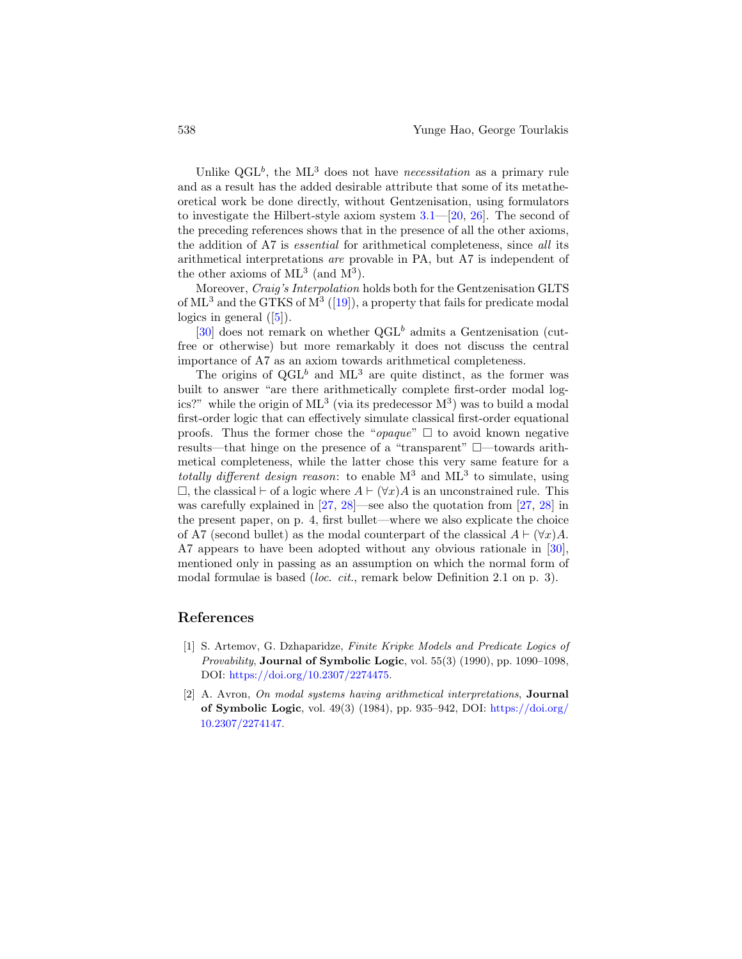Unlike  $\mathrm{QGL}^b$ , the ML<sup>3</sup> does not have *necessitation* as a primary rule and as a result has the added desirable attribute that some of its metatheoretical work be done directly, without Gentzenisation, using formulators to investigate the Hilbert-style axiom system [3.1—](#page-7-0)[\[20,](#page-27-12) [26\]](#page-27-2). The second of the preceding references shows that in the presence of all the other axioms, the addition of A7 is essential for arithmetical completeness, since all its arithmetical interpretations are provable in PA, but A7 is independent of the other axioms of  $ML^3$  (and  $M^3$ ).

Moreover, Craig's Interpolation holds both for the Gentzenisation GLTS of  $ML^3$  and the GTKS of  $M^3$  ([\[19\]](#page-27-3)), a property that fails for predicate modal logicsin general  $([5])$  $([5])$  $([5])$ .

[\[30\]](#page-28-2) does not remark on whether  $QGL<sup>b</sup>$  admits a Gentzenisation (cutfree or otherwise) but more remarkably it does not discuss the central importance of A7 as an axiom towards arithmetical completeness.

The origins of  $QGL^b$  and  $ML^3$  are quite distinct, as the former was built to answer "are there arithmetically complete first-order modal logics?" while the origin of  $ML^3$  (via its predecessor  $M^3$ ) was to build a modal first-order logic that can effectively simulate classical first-order equational proofs. Thus the former chose the "*opaque*"  $\Box$  to avoid known negative results—that hinge on the presence of a "transparent"  $\Box$ —towards arithmetical completeness, while the latter chose this very same feature for a totally different design reason: to enable  $M^3$  and  $ML^3$  to simulate, using  $\Box$ , the classical  $\vdash$  of a logic where  $A \vdash (\forall x)A$  is an unconstrained rule. This was carefully explained in  $[27, 28]$  $[27, 28]$ —see also the quotation from  $[27, 28]$  in the present paper, on p. 4, first bullet—where we also explicate the choice of A7 (second bullet) as the modal counterpart of the classical  $A \vdash (\forall x)A$ . A7 appears to have been adopted without any obvious rationale in [\[30\]](#page-28-2), mentioned only in passing as an assumption on which the normal form of modal formulae is based (*loc. cit.*, remark below Definition 2.1 on p. 3).

### References

- <span id="page-25-1"></span>[1] S. Artemov, G. Dzhaparidze, Finite Kripke Models and Predicate Logics of Provability, Journal of Symbolic Logic, vol. 55(3) (1990), pp. 1090-1098, DOI: [https://doi.org/10.2307/2274475.](https://doi.org/10.2307/2274475)
- <span id="page-25-0"></span>[2] A. Avron, On modal systems having arithmetical interpretations, Journal of Symbolic Logic, vol. 49(3) (1984), pp. 935–942, DOI: [https://doi.org/](https://doi.org/10.2307/2274147) [10.2307/2274147.](https://doi.org/10.2307/2274147)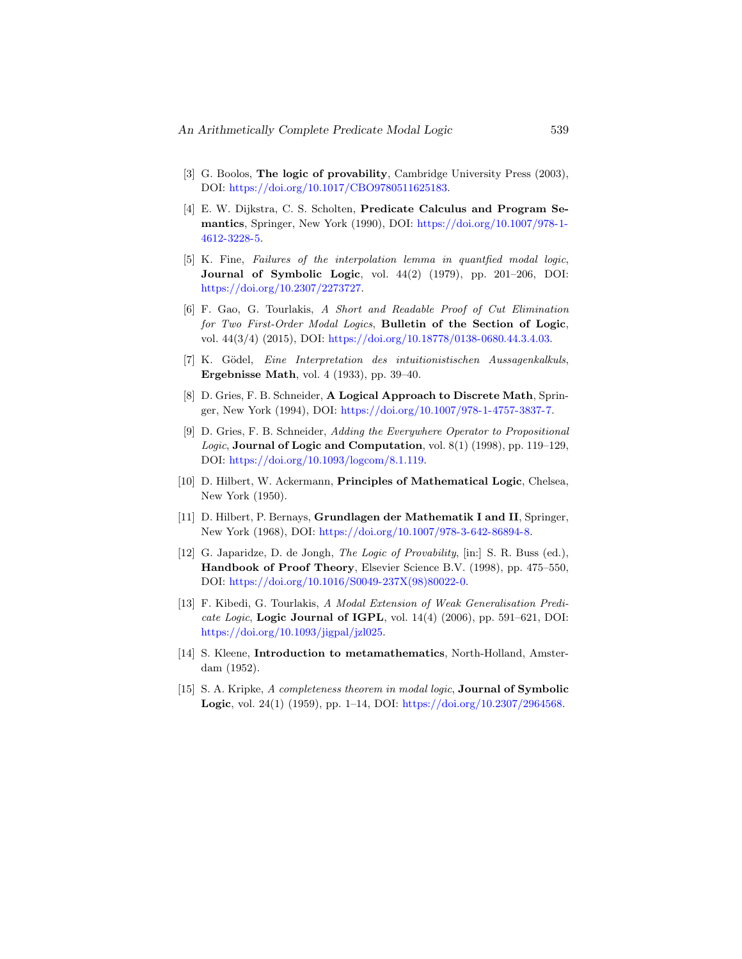- <span id="page-26-0"></span>[3] G. Boolos, **The logic of provability**, Cambridge University Press (2003), DOI: [https://doi.org/10.1017/CBO9780511625183.](https://doi.org/10.1017/CBO9780511625183)
- <span id="page-26-3"></span>[4] E. W. Dijkstra, C. S. Scholten, Predicate Calculus and Program Semantics, Springer, New York (1990), DOI: [https://doi.org/10.1007/978-1-](https://doi.org/10.1007/978-1-4612-3228-5) [4612-3228-5.](https://doi.org/10.1007/978-1-4612-3228-5)
- <span id="page-26-12"></span>[5] K. Fine, Failures of the interpolation lemma in quantfied modal logic, Journal of Symbolic Logic, vol. 44(2) (1979), pp. 201–206, DOI: [https://doi.org/10.2307/2273727.](https://doi.org/10.2307/2273727)
- <span id="page-26-7"></span>[6] F. Gao, G. Tourlakis, A Short and Readable Proof of Cut Elimination for Two First-Order Modal Logics, Bulletin of the Section of Logic, vol. 44(3/4) (2015), DOI: [https://doi.org/10.18778/0138-0680.44.3.4.03.](https://doi.org/10.18778/0138-0680.44.3.4.03)
- <span id="page-26-6"></span>[7] K. Gödel, Eine Interpretation des intuitionistischen Aussagenkalkuls, Ergebnisse Math, vol. 4 (1933), pp. 39–40.
- <span id="page-26-4"></span>[8] D. Gries, F. B. Schneider, A Logical Approach to Discrete Math, Springer, New York (1994), DOI: [https://doi.org/10.1007/978-1-4757-3837-7.](https://doi.org/10.1007/978-1-4757-3837-7)
- <span id="page-26-2"></span>[9] D. Gries, F. B. Schneider, Adding the Everywhere Operator to Propositional Logic, Journal of Logic and Computation, vol.  $8(1)$  (1998), pp. 119–129, DOI: [https://doi.org/10.1093/logcom/8.1.119.](https://doi.org/10.1093/logcom/8.1.119)
- <span id="page-26-10"></span>[10] D. Hilbert, W. Ackermann, Principles of Mathematical Logic, Chelsea, New York (1950).
- <span id="page-26-9"></span>[11] D. Hilbert, P. Bernays, Grundlagen der Mathematik I and II, Springer, New York (1968), DOI: [https://doi.org/10.1007/978-3-642-86894-8.](https://doi.org/10.1007/978-3-642-86894-8)
- <span id="page-26-1"></span>[12] G. Japaridze, D. de Jongh, The Logic of Provability, [in:] S. R. Buss (ed.), Handbook of Proof Theory, Elsevier Science B.V. (1998), pp. 475–550, DOI: [https://doi.org/10.1016/S0049-237X\(98\)80022-0.](https://doi.org/10.1016/S0049-237X(98)80022-0)
- <span id="page-26-5"></span>[13] F. Kibedi, G. Tourlakis, A Modal Extension of Weak Generalisation Predicate Logic, Logic Journal of IGPL, vol.  $14(4)$  (2006), pp. 591-621, DOI: [https://doi.org/10.1093/jigpal/jzl025.](https://doi.org/10.1093/jigpal/jzl025)
- <span id="page-26-11"></span>[14] S. Kleene, Introduction to metamathematics, North-Holland, Amsterdam (1952).
- <span id="page-26-8"></span>[15] S. A. Kripke, A completeness theorem in modal logic, Journal of Symbolic **Logic**, vol. 24(1) (1959), pp. 1–14, DOI: [https://doi.org/10.2307/2964568.](https://doi.org/10.2307/2964568)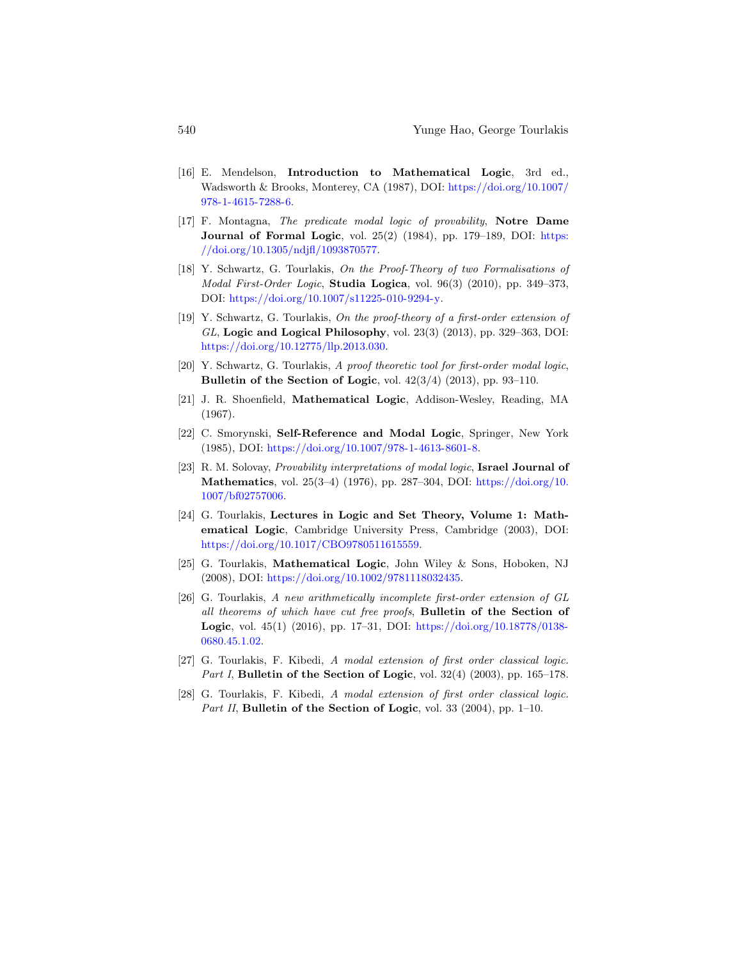- <span id="page-27-8"></span>[16] E. Mendelson, Introduction to Mathematical Logic, 3rd ed., Wadsworth & Brooks, Monterey, CA (1987), DOI: [https://doi.org/10.1007/](https://doi.org/10.1007/978-1-4615-7288-6) [978-1-4615-7288-6.](https://doi.org/10.1007/978-1-4615-7288-6)
- <span id="page-27-1"></span>[17] F. Montagna, The predicate modal logic of provability, Notre Dame Journal of Formal Logic, vol. 25(2) (1984), pp. 179-189, DOI: [https:](https://doi.org/10.1305/ndjfl/1093870577) [//doi.org/10.1305/ndjfl/1093870577.](https://doi.org/10.1305/ndjfl/1093870577)
- <span id="page-27-11"></span>[18] Y. Schwartz, G. Tourlakis, On the Proof-Theory of two Formalisations of Modal First-Order Logic, Studia Logica, vol. 96(3) (2010), pp. 349–373, DOI: [https://doi.org/10.1007/s11225-010-9294-y.](https://doi.org/10.1007/s11225-010-9294-y)
- <span id="page-27-3"></span>[19] Y. Schwartz, G. Tourlakis, On the proof-theory of a first-order extension of  $GL$ , Logic and Logical Philosophy, vol. 23(3) (2013), pp. 329-363, DOI: [https://doi.org/10.12775/llp.2013.030.](https://doi.org/10.12775/llp.2013.030)
- <span id="page-27-12"></span>[20] Y. Schwartz, G. Tourlakis, A proof theoretic tool for first-order modal logic, Bulletin of the Section of Logic, vol.  $42(3/4)$  (2013), pp. 93–110.
- <span id="page-27-9"></span>[21] J. R. Shoenfield, Mathematical Logic, Addison-Wesley, Reading, MA (1967).
- <span id="page-27-4"></span><span id="page-27-0"></span>[22] C. Smorynski, Self-Reference and Modal Logic, Springer, New York (1985), DOI: [https://doi.org/10.1007/978-1-4613-8601-8.](https://doi.org/10.1007/978-1-4613-8601-8)
- <span id="page-27-13"></span>[23] R. M. Solovay, Provability interpretations of modal logic, Israel Journal of Mathematics, vol. 25(3–4) (1976), pp. 287–304, DOI: [https://doi.org/10.](https://doi.org/10.1007/bf02757006) [1007/bf02757006.](https://doi.org/10.1007/bf02757006)
- <span id="page-27-10"></span>[24] G. Tourlakis, Lectures in Logic and Set Theory, Volume 1: Mathematical Logic, Cambridge University Press, Cambridge (2003), DOI: [https://doi.org/10.1017/CBO9780511615559.](https://doi.org/10.1017/CBO9780511615559)
- <span id="page-27-7"></span>[25] G. Tourlakis, Mathematical Logic, John Wiley & Sons, Hoboken, NJ (2008), DOI: [https://doi.org/10.1002/9781118032435.](https://doi.org/10.1002/9781118032435)
- <span id="page-27-2"></span>[26] G. Tourlakis, A new arithmetically incomplete first-order extension of GL all theorems of which have cut free proofs, Bulletin of the Section of **Logic**, vol. 45(1) (2016), pp. 17–31, DOI: [https://doi.org/10.18778/0138-](https://doi.org/10.18778/0138-0680.45.1.02) [0680.45.1.02.](https://doi.org/10.18778/0138-0680.45.1.02)
- <span id="page-27-5"></span>[27] G. Tourlakis, F. Kibedi, A modal extension of first order classical logic. Part I, Bulletin of the Section of Logic, vol.  $32(4)$   $(2003)$ , pp.  $165-178$ .
- <span id="page-27-6"></span>[28] G. Tourlakis, F. Kibedi, A modal extension of first order classical logic. Part II, Bulletin of the Section of Logic, vol. 33 (2004), pp. 1–10.